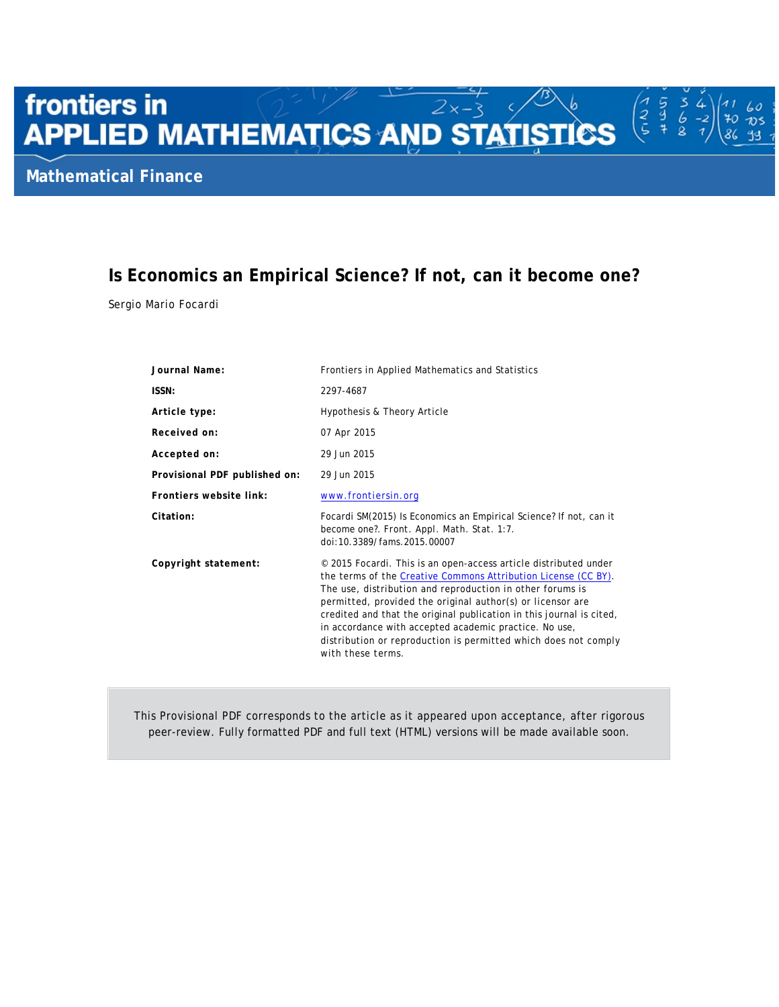# frontiers in **frontiers in Example 28 AMP STATISTICS**<br>APPLIED MATHEMATICS AND STATISTICS

# **Is Economics an Empirical Science? If not, can it become one?**

イマこ 5g

60  $\overline{v}$ s 70

93

Sergio Mario Focardi

| Journal Name:                 | Frontiers in Applied Mathematics and Statistics                                                                                                                                                                                                                                                                                                                                                                                                                                         |  |
|-------------------------------|-----------------------------------------------------------------------------------------------------------------------------------------------------------------------------------------------------------------------------------------------------------------------------------------------------------------------------------------------------------------------------------------------------------------------------------------------------------------------------------------|--|
| ISSN:                         | 2297-4687                                                                                                                                                                                                                                                                                                                                                                                                                                                                               |  |
| Article type:                 | Hypothesis & Theory Article                                                                                                                                                                                                                                                                                                                                                                                                                                                             |  |
| Received on:                  | 07 Apr 2015                                                                                                                                                                                                                                                                                                                                                                                                                                                                             |  |
| Accepted on:                  | 29 Jun 2015                                                                                                                                                                                                                                                                                                                                                                                                                                                                             |  |
| Provisional PDF published on: | 29 Jun 2015                                                                                                                                                                                                                                                                                                                                                                                                                                                                             |  |
| Frontiers website link:       | www.frontiersin.org                                                                                                                                                                                                                                                                                                                                                                                                                                                                     |  |
| Citation:                     | Focardi SM(2015) Is Economics an Empirical Science? If not, can it<br>become one?. Front. Appl. Math. Stat. 1:7.<br>doi:10.3389/fams.2015.00007                                                                                                                                                                                                                                                                                                                                         |  |
| Copyright statement:          | © 2015 Focardi. This is an open-access article distributed under<br>the terms of the Creative Commons Attribution License (CC BY).<br>The use, distribution and reproduction in other forums is<br>permitted, provided the original author(s) or licensor are<br>credited and that the original publication in this journal is cited,<br>in accordance with accepted academic practice. No use,<br>distribution or reproduction is permitted which does not comply<br>with these terms. |  |

This Provisional PDF corresponds to the article as it appeared upon acceptance, after rigorous peer-review. Fully formatted PDF and full text (HTML) versions will be made available soon.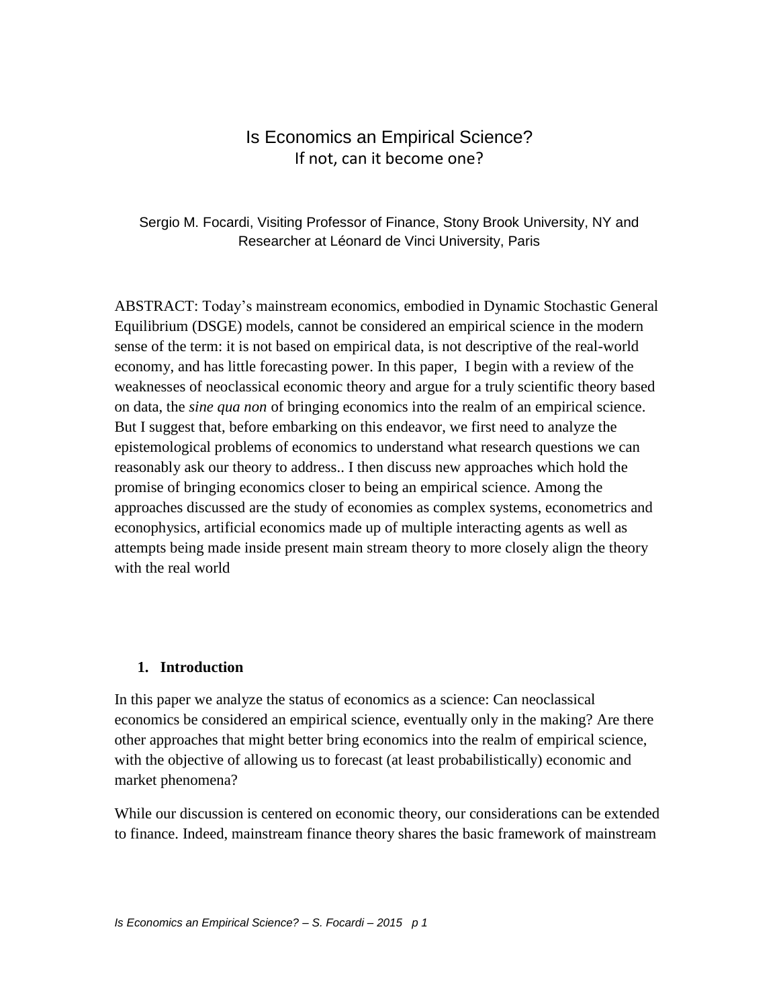# Is Economics an Empirical Science? If not, can it become one?

### Sergio M. Focardi, Visiting Professor of Finance, Stony Brook University, NY and Researcher at Léonard de Vinci University, Paris

ABSTRACT: Today's mainstream economics, embodied in Dynamic Stochastic General Equilibrium (DSGE) models, cannot be considered an empirical science in the modern sense of the term: it is not based on empirical data, is not descriptive of the real-world economy, and has little forecasting power. In this paper, I begin with a review of the weaknesses of neoclassical economic theory and argue for a truly scientific theory based on data, the *sine qua non* of bringing economics into the realm of an empirical science. But I suggest that, before embarking on this endeavor, we first need to analyze the epistemological problems of economics to understand what research questions we can reasonably ask our theory to address.. I then discuss new approaches which hold the promise of bringing economics closer to being an empirical science. Among the approaches discussed are the study of economies as complex systems, econometrics and econophysics, artificial economics made up of multiple interacting agents as well as attempts being made inside present main stream theory to more closely align the theory with the real world

### **1. Introduction**

In this paper we analyze the status of economics as a science: Can neoclassical economics be considered an empirical science, eventually only in the making? Are there other approaches that might better bring economics into the realm of empirical science, with the objective of allowing us to forecast (at least probabilistically) economic and market phenomena?

While our discussion is centered on economic theory, our considerations can be extended to finance. Indeed, mainstream finance theory shares the basic framework of mainstream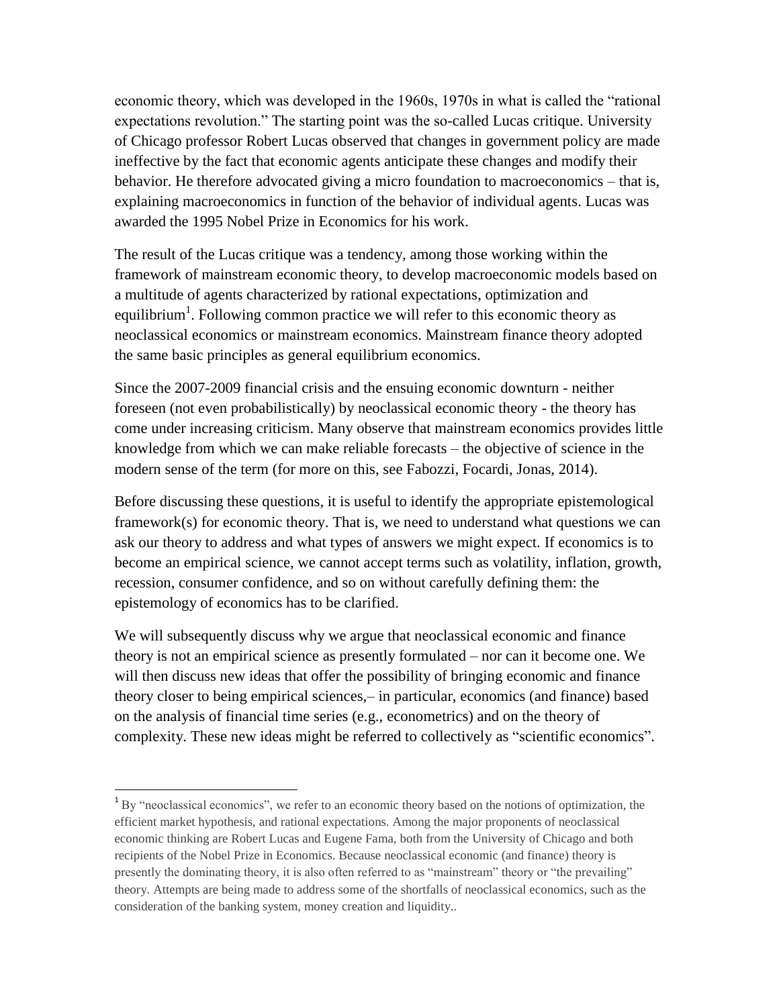economic theory, which was developed in the 1960s, 1970s in what is called the "rational expectations revolution." The starting point was the so-called Lucas critique. University of Chicago professor Robert Lucas observed that changes in government policy are made ineffective by the fact that economic agents anticipate these changes and modify their behavior. He therefore advocated giving a micro foundation to macroeconomics – that is, explaining macroeconomics in function of the behavior of individual agents. Lucas was awarded the 1995 Nobel Prize in Economics for his work.

The result of the Lucas critique was a tendency, among those working within the framework of mainstream economic theory, to develop macroeconomic models based on a multitude of agents characterized by rational expectations, optimization and equilibrium<sup>1</sup>. Following common practice we will refer to this economic theory as neoclassical economics or mainstream economics. Mainstream finance theory adopted the same basic principles as general equilibrium economics.

Since the 2007-2009 financial crisis and the ensuing economic downturn - neither foreseen (not even probabilistically) by neoclassical economic theory - the theory has come under increasing criticism. Many observe that mainstream economics provides little knowledge from which we can make reliable forecasts – the objective of science in the modern sense of the term (for more on this, see Fabozzi, Focardi, Jonas, 2014).

Before discussing these questions, it is useful to identify the appropriate epistemological framework(s) for economic theory. That is, we need to understand what questions we can ask our theory to address and what types of answers we might expect. If economics is to become an empirical science, we cannot accept terms such as volatility, inflation, growth, recession, consumer confidence, and so on without carefully defining them: the epistemology of economics has to be clarified.

We will subsequently discuss why we argue that neoclassical economic and finance theory is not an empirical science as presently formulated – nor can it become one. We will then discuss new ideas that offer the possibility of bringing economic and finance theory closer to being empirical sciences,– in particular, economics (and finance) based on the analysis of financial time series (e.g., econometrics) and on the theory of complexity. These new ideas might be referred to collectively as "scientific economics".

 $\overline{\phantom{a}}$ 

<sup>&</sup>lt;sup>1</sup> By "neoclassical economics", we refer to an economic theory based on the notions of optimization, the efficient market hypothesis, and rational expectations. Among the major proponents of neoclassical economic thinking are Robert Lucas and Eugene Fama, both from the University of Chicago and both recipients of the Nobel Prize in Economics. Because neoclassical economic (and finance) theory is presently the dominating theory, it is also often referred to as "mainstream" theory or "the prevailing" theory. Attempts are being made to address some of the shortfalls of neoclassical economics, such as the consideration of the banking system, money creation and liquidity..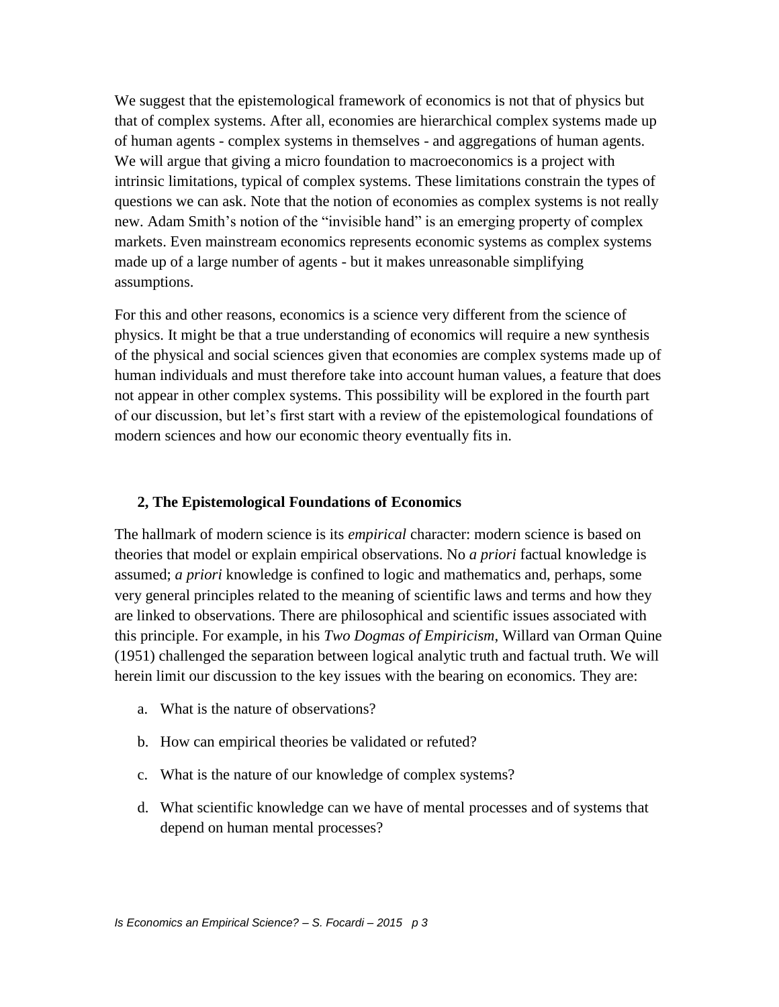We suggest that the epistemological framework of economics is not that of physics but that of complex systems. After all, economies are hierarchical complex systems made up of human agents - complex systems in themselves - and aggregations of human agents. We will argue that giving a micro foundation to macroeconomics is a project with intrinsic limitations, typical of complex systems. These limitations constrain the types of questions we can ask. Note that the notion of economies as complex systems is not really new. Adam Smith's notion of the "invisible hand" is an emerging property of complex markets. Even mainstream economics represents economic systems as complex systems made up of a large number of agents - but it makes unreasonable simplifying assumptions.

For this and other reasons, economics is a science very different from the science of physics. It might be that a true understanding of economics will require a new synthesis of the physical and social sciences given that economies are complex systems made up of human individuals and must therefore take into account human values, a feature that does not appear in other complex systems. This possibility will be explored in the fourth part of our discussion, but let's first start with a review of the epistemological foundations of modern sciences and how our economic theory eventually fits in.

### **2, The Epistemological Foundations of Economics**

The hallmark of modern science is its *empirical* character: modern science is based on theories that model or explain empirical observations. No *a priori* factual knowledge is assumed; *a priori* knowledge is confined to logic and mathematics and, perhaps, some very general principles related to the meaning of scientific laws and terms and how they are linked to observations. There are philosophical and scientific issues associated with this principle. For example, in his *Two Dogmas of Empiricism*, Willard van Orman Quine (1951) challenged the separation between logical analytic truth and factual truth. We will herein limit our discussion to the key issues with the bearing on economics. They are:

- a. What is the nature of observations?
- b. How can empirical theories be validated or refuted?
- c. What is the nature of our knowledge of complex systems?
- d. What scientific knowledge can we have of mental processes and of systems that depend on human mental processes?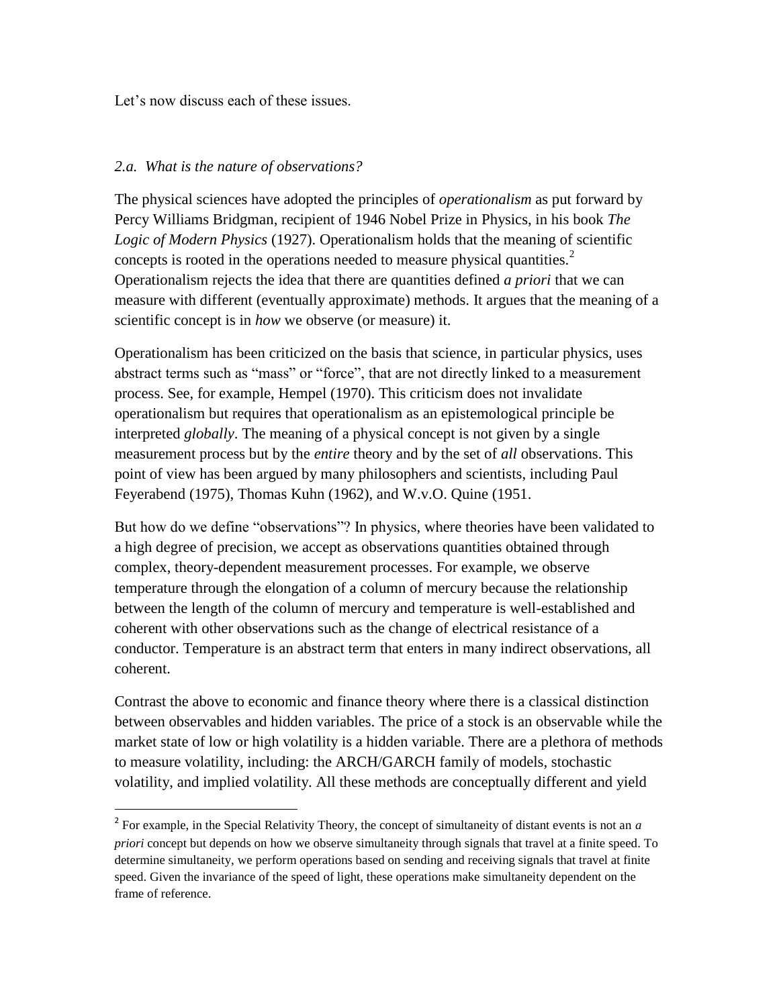Let's now discuss each of these issues.

### *2.a. What is the nature of observations?*

l

The physical sciences have adopted the principles of *operationalism* as put forward by Percy Williams Bridgman, recipient of 1946 Nobel Prize in Physics, in his book *The Logic of Modern Physics* (1927). Operationalism holds that the meaning of scientific concepts is rooted in the operations needed to measure physical quantities.<sup>2</sup> Operationalism rejects the idea that there are quantities defined *a priori* that we can measure with different (eventually approximate) methods. It argues that the meaning of a scientific concept is in *how* we observe (or measure) it.

Operationalism has been criticized on the basis that science, in particular physics, uses abstract terms such as "mass" or "force", that are not directly linked to a measurement process. See, for example, Hempel (1970). This criticism does not invalidate operationalism but requires that operationalism as an epistemological principle be interpreted *globally*. The meaning of a physical concept is not given by a single measurement process but by the *entire* theory and by the set of *all* observations. This point of view has been argued by many philosophers and scientists, including Paul Feyerabend (1975), Thomas Kuhn (1962), and W.v.O. Quine (1951.

But how do we define "observations"? In physics, where theories have been validated to a high degree of precision, we accept as observations quantities obtained through complex, theory-dependent measurement processes. For example, we observe temperature through the elongation of a column of mercury because the relationship between the length of the column of mercury and temperature is well-established and coherent with other observations such as the change of electrical resistance of a conductor. Temperature is an abstract term that enters in many indirect observations, all coherent.

Contrast the above to economic and finance theory where there is a classical distinction between observables and hidden variables. The price of a stock is an observable while the market state of low or high volatility is a hidden variable. There are a plethora of methods to measure volatility, including: the ARCH/GARCH family of models, stochastic volatility, and implied volatility. All these methods are conceptually different and yield

<sup>2</sup> For example, in the Special Relativity Theory, the concept of simultaneity of distant events is not an *a priori* concept but depends on how we observe simultaneity through signals that travel at a finite speed. To determine simultaneity, we perform operations based on sending and receiving signals that travel at finite speed. Given the invariance of the speed of light, these operations make simultaneity dependent on the frame of reference.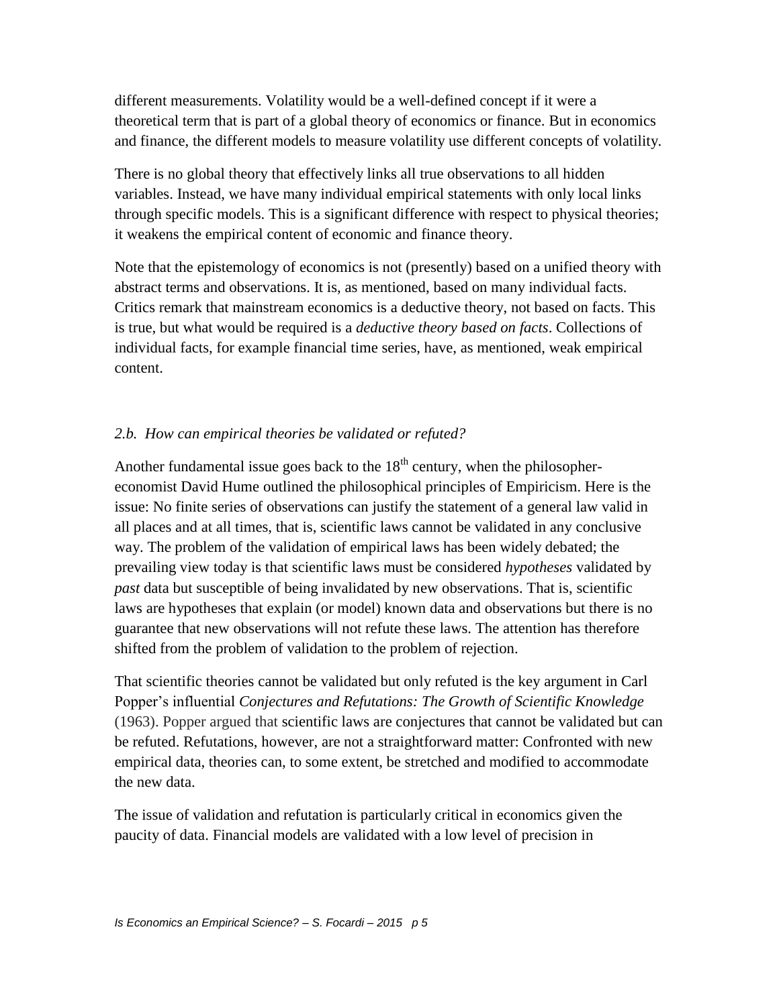different measurements. Volatility would be a well-defined concept if it were a theoretical term that is part of a global theory of economics or finance. But in economics and finance, the different models to measure volatility use different concepts of volatility.

There is no global theory that effectively links all true observations to all hidden variables. Instead, we have many individual empirical statements with only local links through specific models. This is a significant difference with respect to physical theories; it weakens the empirical content of economic and finance theory.

Note that the epistemology of economics is not (presently) based on a unified theory with abstract terms and observations. It is, as mentioned, based on many individual facts. Critics remark that mainstream economics is a deductive theory, not based on facts. This is true, but what would be required is a *deductive theory based on facts*. Collections of individual facts, for example financial time series, have, as mentioned, weak empirical content.

### *2.b. How can empirical theories be validated or refuted?*

Another fundamental issue goes back to the  $18<sup>th</sup>$  century, when the philosophereconomist David Hume outlined the philosophical principles of Empiricism. Here is the issue: No finite series of observations can justify the statement of a general law valid in all places and at all times, that is, scientific laws cannot be validated in any conclusive way. The problem of the validation of empirical laws has been widely debated; the prevailing view today is that scientific laws must be considered *hypotheses* validated by *past* data but susceptible of being invalidated by new observations. That is, scientific laws are hypotheses that explain (or model) known data and observations but there is no guarantee that new observations will not refute these laws. The attention has therefore shifted from the problem of validation to the problem of rejection.

That scientific theories cannot be validated but only refuted is the key argument in Carl Popper's influential *Conjectures and Refutations: The Growth of Scientific Knowledge* (1963). Popper argued that scientific laws are conjectures that cannot be validated but can be refuted. Refutations, however, are not a straightforward matter: Confronted with new empirical data, theories can, to some extent, be stretched and modified to accommodate the new data.

The issue of validation and refutation is particularly critical in economics given the paucity of data. Financial models are validated with a low level of precision in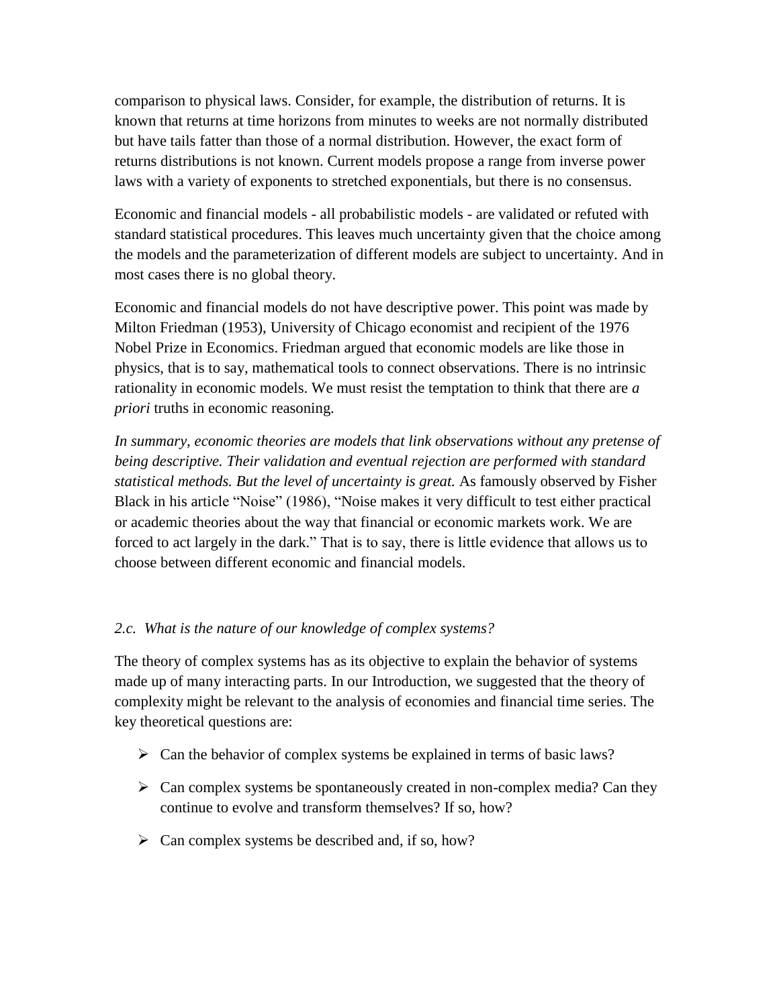comparison to physical laws. Consider, for example, the distribution of returns. It is known that returns at time horizons from minutes to weeks are not normally distributed but have tails fatter than those of a normal distribution. However, the exact form of returns distributions is not known. Current models propose a range from inverse power laws with a variety of exponents to stretched exponentials, but there is no consensus.

Economic and financial models - all probabilistic models - are validated or refuted with standard statistical procedures. This leaves much uncertainty given that the choice among the models and the parameterization of different models are subject to uncertainty. And in most cases there is no global theory.

Economic and financial models do not have descriptive power. This point was made by Milton Friedman (1953), University of Chicago economist and recipient of the 1976 Nobel Prize in Economics. Friedman argued that economic models are like those in physics, that is to say, mathematical tools to connect observations. There is no intrinsic rationality in economic models. We must resist the temptation to think that there are *a priori* truths in economic reasoning.

*In summary, economic theories are models that link observations without any pretense of being descriptive. Their validation and eventual rejection are performed with standard statistical methods. But the level of uncertainty is great.* As famously observed by Fisher Black in his article "Noise" (1986), "Noise makes it very difficult to test either practical or academic theories about the way that financial or economic markets work. We are forced to act largely in the dark." That is to say, there is little evidence that allows us to choose between different economic and financial models.

### *2.c. What is the nature of our knowledge of complex systems?*

The theory of complex systems has as its objective to explain the behavior of systems made up of many interacting parts. In our Introduction, we suggested that the theory of complexity might be relevant to the analysis of economies and financial time series. The key theoretical questions are:

- $\triangleright$  Can the behavior of complex systems be explained in terms of basic laws?
- $\triangleright$  Can complex systems be spontaneously created in non-complex media? Can they continue to evolve and transform themselves? If so, how?
- $\triangleright$  Can complex systems be described and, if so, how?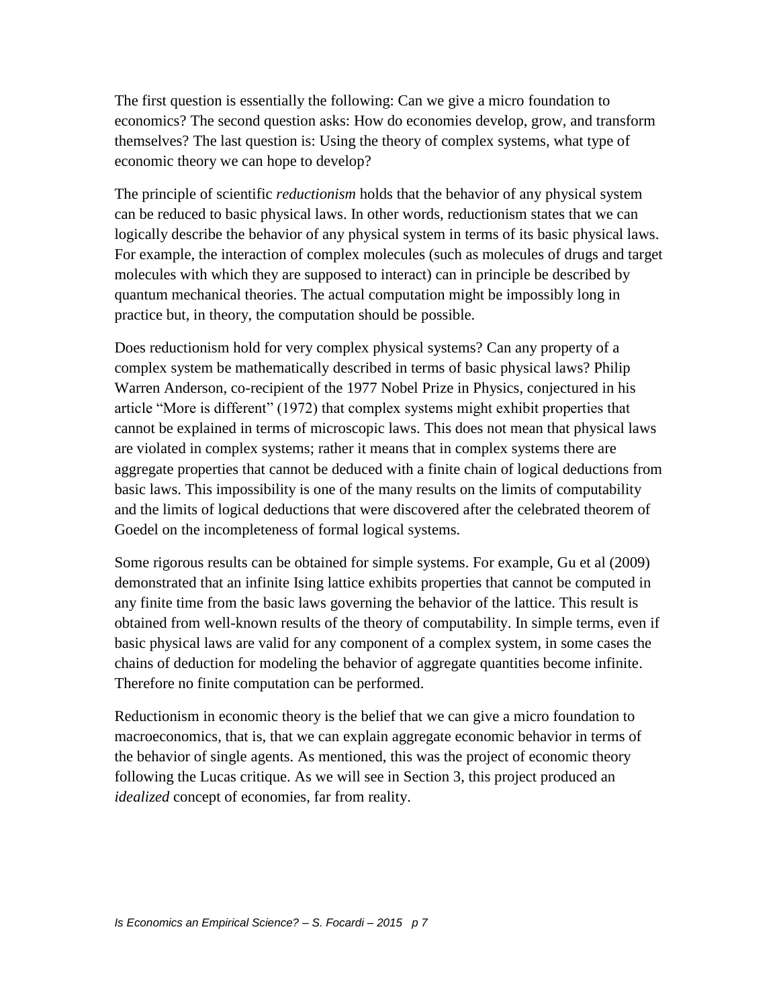The first question is essentially the following: Can we give a micro foundation to economics? The second question asks: How do economies develop, grow, and transform themselves? The last question is: Using the theory of complex systems, what type of economic theory we can hope to develop?

The principle of scientific *reductionism* holds that the behavior of any physical system can be reduced to basic physical laws. In other words, reductionism states that we can logically describe the behavior of any physical system in terms of its basic physical laws. For example, the interaction of complex molecules (such as molecules of drugs and target molecules with which they are supposed to interact) can in principle be described by quantum mechanical theories. The actual computation might be impossibly long in practice but, in theory, the computation should be possible.

Does reductionism hold for very complex physical systems? Can any property of a complex system be mathematically described in terms of basic physical laws? Philip Warren Anderson, co-recipient of the 1977 Nobel Prize in Physics, conjectured in his article "More is different" (1972) that complex systems might exhibit properties that cannot be explained in terms of microscopic laws. This does not mean that physical laws are violated in complex systems; rather it means that in complex systems there are aggregate properties that cannot be deduced with a finite chain of logical deductions from basic laws. This impossibility is one of the many results on the limits of computability and the limits of logical deductions that were discovered after the celebrated theorem of Goedel on the incompleteness of formal logical systems.

Some rigorous results can be obtained for simple systems. For example, Gu et al (2009) demonstrated that an infinite Ising lattice exhibits properties that cannot be computed in any finite time from the basic laws governing the behavior of the lattice. This result is obtained from well-known results of the theory of computability. In simple terms, even if basic physical laws are valid for any component of a complex system, in some cases the chains of deduction for modeling the behavior of aggregate quantities become infinite. Therefore no finite computation can be performed.

Reductionism in economic theory is the belief that we can give a micro foundation to macroeconomics, that is, that we can explain aggregate economic behavior in terms of the behavior of single agents. As mentioned, this was the project of economic theory following the Lucas critique. As we will see in Section 3, this project produced an *idealized* concept of economies, far from reality.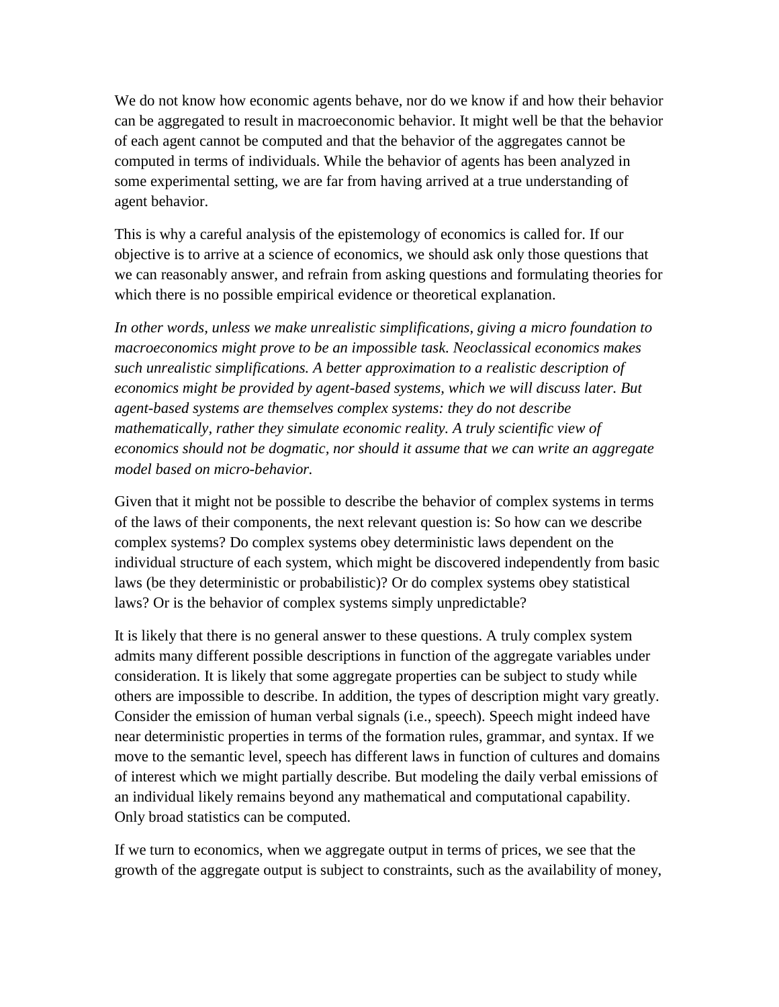We do not know how economic agents behave, nor do we know if and how their behavior can be aggregated to result in macroeconomic behavior. It might well be that the behavior of each agent cannot be computed and that the behavior of the aggregates cannot be computed in terms of individuals. While the behavior of agents has been analyzed in some experimental setting, we are far from having arrived at a true understanding of agent behavior.

This is why a careful analysis of the epistemology of economics is called for. If our objective is to arrive at a science of economics, we should ask only those questions that we can reasonably answer, and refrain from asking questions and formulating theories for which there is no possible empirical evidence or theoretical explanation.

*In other words, unless we make unrealistic simplifications, giving a micro foundation to macroeconomics might prove to be an impossible task. Neoclassical economics makes such unrealistic simplifications. A better approximation to a realistic description of economics might be provided by agent-based systems, which we will discuss later. But agent-based systems are themselves complex systems: they do not describe mathematically, rather they simulate economic reality. A truly scientific view of economics should not be dogmatic, nor should it assume that we can write an aggregate model based on micro-behavior.* 

Given that it might not be possible to describe the behavior of complex systems in terms of the laws of their components, the next relevant question is: So how can we describe complex systems? Do complex systems obey deterministic laws dependent on the individual structure of each system, which might be discovered independently from basic laws (be they deterministic or probabilistic)? Or do complex systems obey statistical laws? Or is the behavior of complex systems simply unpredictable?

It is likely that there is no general answer to these questions. A truly complex system admits many different possible descriptions in function of the aggregate variables under consideration. It is likely that some aggregate properties can be subject to study while others are impossible to describe. In addition, the types of description might vary greatly. Consider the emission of human verbal signals (i.e., speech). Speech might indeed have near deterministic properties in terms of the formation rules, grammar, and syntax. If we move to the semantic level, speech has different laws in function of cultures and domains of interest which we might partially describe. But modeling the daily verbal emissions of an individual likely remains beyond any mathematical and computational capability. Only broad statistics can be computed.

If we turn to economics, when we aggregate output in terms of prices, we see that the growth of the aggregate output is subject to constraints, such as the availability of money,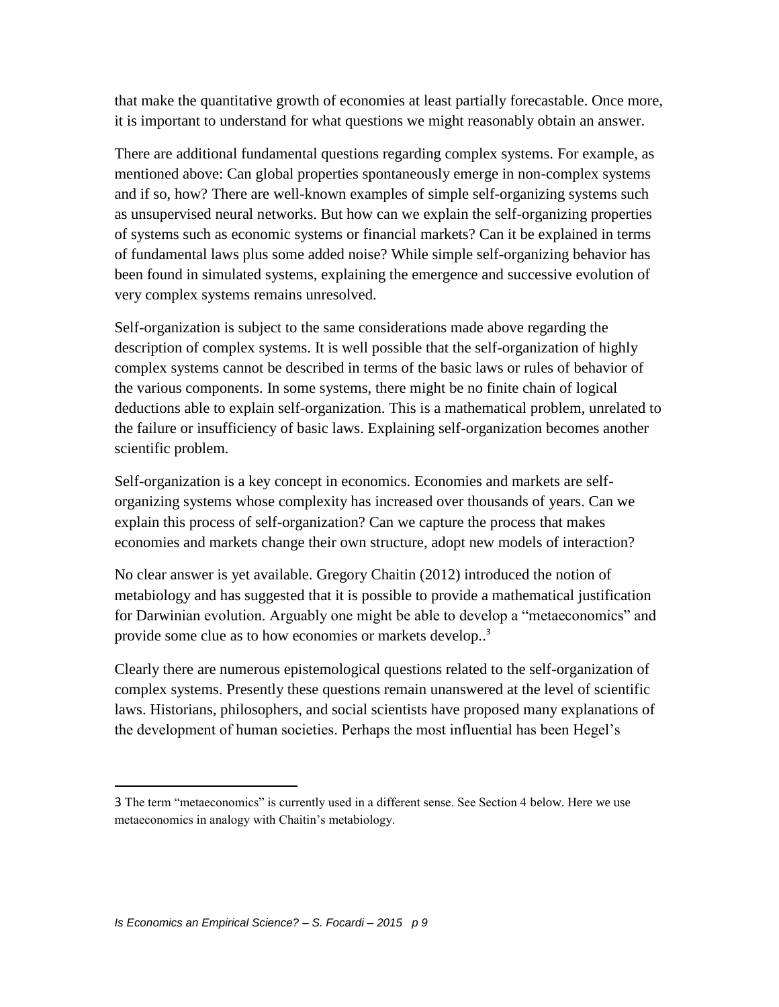that make the quantitative growth of economies at least partially forecastable. Once more, it is important to understand for what questions we might reasonably obtain an answer.

There are additional fundamental questions regarding complex systems. For example, as mentioned above: Can global properties spontaneously emerge in non-complex systems and if so, how? There are well-known examples of simple self-organizing systems such as unsupervised neural networks. But how can we explain the self-organizing properties of systems such as economic systems or financial markets? Can it be explained in terms of fundamental laws plus some added noise? While simple self-organizing behavior has been found in simulated systems, explaining the emergence and successive evolution of very complex systems remains unresolved.

Self-organization is subject to the same considerations made above regarding the description of complex systems. It is well possible that the self-organization of highly complex systems cannot be described in terms of the basic laws or rules of behavior of the various components. In some systems, there might be no finite chain of logical deductions able to explain self-organization. This is a mathematical problem, unrelated to the failure or insufficiency of basic laws. Explaining self-organization becomes another scientific problem.

Self-organization is a key concept in economics. Economies and markets are selforganizing systems whose complexity has increased over thousands of years. Can we explain this process of self-organization? Can we capture the process that makes economies and markets change their own structure, adopt new models of interaction?

No clear answer is yet available. Gregory Chaitin (2012) introduced the notion of metabiology and has suggested that it is possible to provide a mathematical justification for Darwinian evolution. Arguably one might be able to develop a "metaeconomics" and provide some clue as to how economies or markets develop..<sup>3</sup>

Clearly there are numerous epistemological questions related to the self-organization of complex systems. Presently these questions remain unanswered at the level of scientific laws. Historians, philosophers, and social scientists have proposed many explanations of the development of human societies. Perhaps the most influential has been Hegel's

l

<sup>3</sup> The term "metaeconomics" is currently used in a different sense. See Section 4 below. Here we use metaeconomics in analogy with Chaitin's metabiology.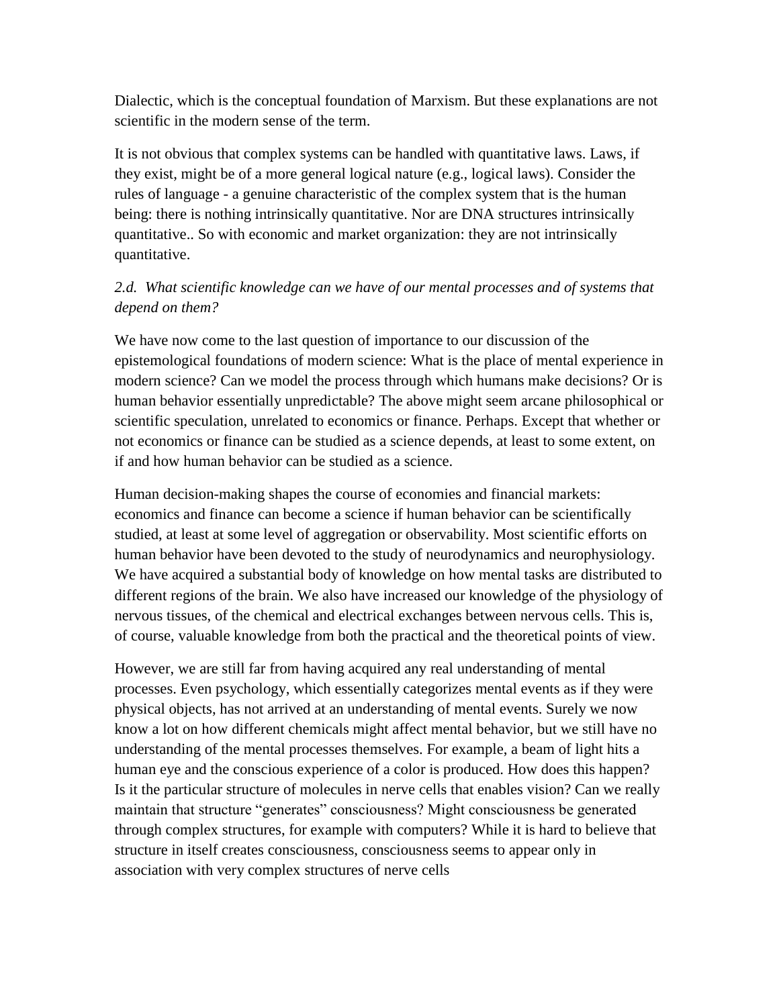Dialectic, which is the conceptual foundation of Marxism. But these explanations are not scientific in the modern sense of the term.

It is not obvious that complex systems can be handled with quantitative laws. Laws, if they exist, might be of a more general logical nature (e.g., logical laws). Consider the rules of language - a genuine characteristic of the complex system that is the human being: there is nothing intrinsically quantitative. Nor are DNA structures intrinsically quantitative.. So with economic and market organization: they are not intrinsically quantitative.

## *2.d. What scientific knowledge can we have of our mental processes and of systems that depend on them?*

We have now come to the last question of importance to our discussion of the epistemological foundations of modern science: What is the place of mental experience in modern science? Can we model the process through which humans make decisions? Or is human behavior essentially unpredictable? The above might seem arcane philosophical or scientific speculation, unrelated to economics or finance. Perhaps. Except that whether or not economics or finance can be studied as a science depends, at least to some extent, on if and how human behavior can be studied as a science.

Human decision-making shapes the course of economies and financial markets: economics and finance can become a science if human behavior can be scientifically studied, at least at some level of aggregation or observability. Most scientific efforts on human behavior have been devoted to the study of neurodynamics and neurophysiology. We have acquired a substantial body of knowledge on how mental tasks are distributed to different regions of the brain. We also have increased our knowledge of the physiology of nervous tissues, of the chemical and electrical exchanges between nervous cells. This is, of course, valuable knowledge from both the practical and the theoretical points of view.

However, we are still far from having acquired any real understanding of mental processes. Even psychology, which essentially categorizes mental events as if they were physical objects, has not arrived at an understanding of mental events. Surely we now know a lot on how different chemicals might affect mental behavior, but we still have no understanding of the mental processes themselves. For example, a beam of light hits a human eye and the conscious experience of a color is produced. How does this happen? Is it the particular structure of molecules in nerve cells that enables vision? Can we really maintain that structure "generates" consciousness? Might consciousness be generated through complex structures, for example with computers? While it is hard to believe that structure in itself creates consciousness, consciousness seems to appear only in association with very complex structures of nerve cells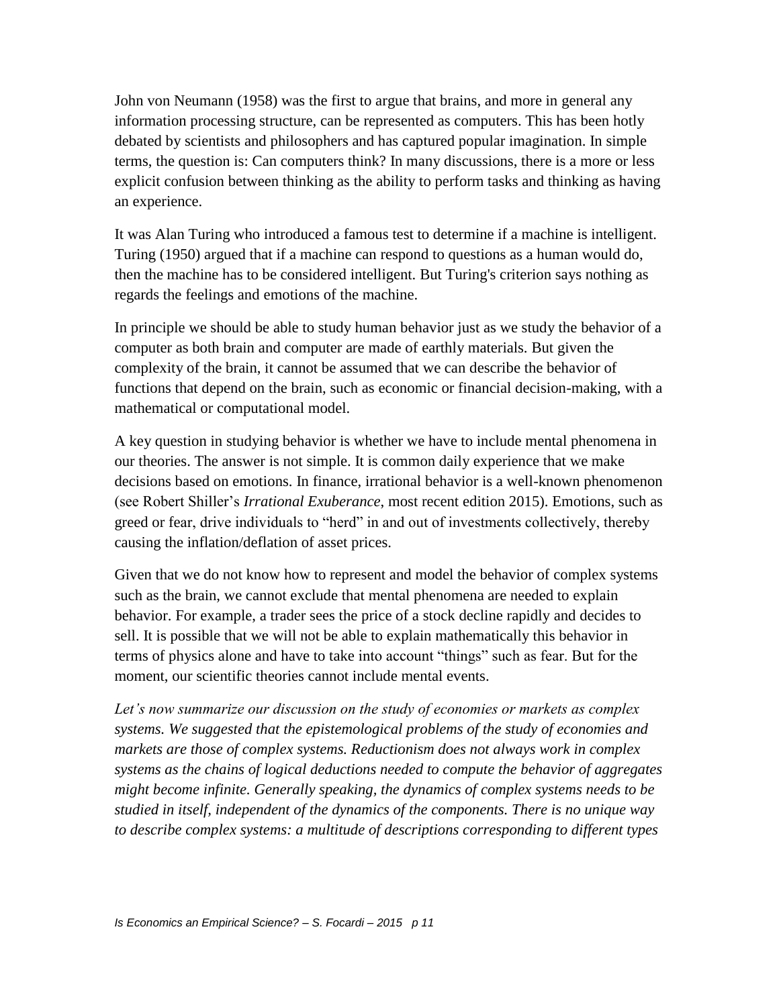John von Neumann (1958) was the first to argue that brains, and more in general any information processing structure, can be represented as computers. This has been hotly debated by scientists and philosophers and has captured popular imagination. In simple terms, the question is: Can computers think? In many discussions, there is a more or less explicit confusion between thinking as the ability to perform tasks and thinking as having an experience.

It was Alan Turing who introduced a famous test to determine if a machine is intelligent. Turing (1950) argued that if a machine can respond to questions as a human would do, then the machine has to be considered intelligent. But Turing's criterion says nothing as regards the feelings and emotions of the machine.

In principle we should be able to study human behavior just as we study the behavior of a computer as both brain and computer are made of earthly materials. But given the complexity of the brain, it cannot be assumed that we can describe the behavior of functions that depend on the brain, such as economic or financial decision-making, with a mathematical or computational model.

A key question in studying behavior is whether we have to include mental phenomena in our theories. The answer is not simple. It is common daily experience that we make decisions based on emotions. In finance, irrational behavior is a well-known phenomenon (see Robert Shiller's *Irrational Exuberance*, most recent edition 2015). Emotions, such as greed or fear, drive individuals to "herd" in and out of investments collectively, thereby causing the inflation/deflation of asset prices.

Given that we do not know how to represent and model the behavior of complex systems such as the brain, we cannot exclude that mental phenomena are needed to explain behavior. For example, a trader sees the price of a stock decline rapidly and decides to sell. It is possible that we will not be able to explain mathematically this behavior in terms of physics alone and have to take into account "things" such as fear. But for the moment, our scientific theories cannot include mental events.

*Let's now summarize our discussion on the study of economies or markets as complex systems. We suggested that the epistemological problems of the study of economies and markets are those of complex systems. Reductionism does not always work in complex systems as the chains of logical deductions needed to compute the behavior of aggregates might become infinite. Generally speaking, the dynamics of complex systems needs to be studied in itself, independent of the dynamics of the components. There is no unique way to describe complex systems: a multitude of descriptions corresponding to different types*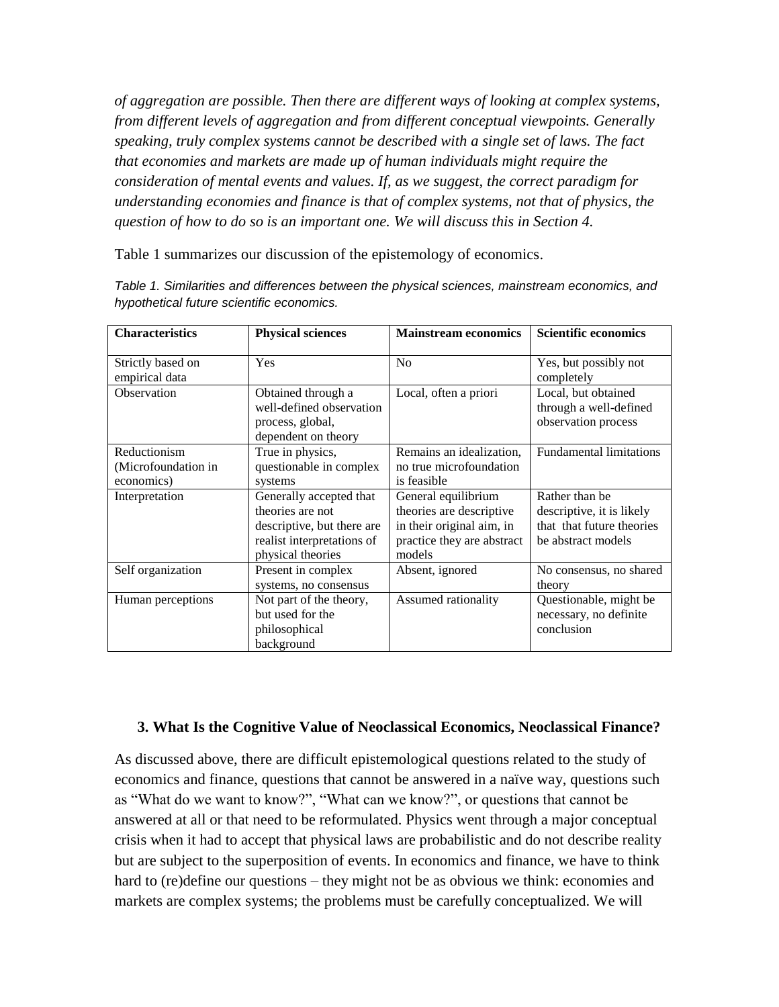*of aggregation are possible. Then there are different ways of looking at complex systems, from different levels of aggregation and from different conceptual viewpoints. Generally speaking, truly complex systems cannot be described with a single set of laws. The fact that economies and markets are made up of human individuals might require the consideration of mental events and values. If, as we suggest, the correct paradigm for understanding economies and finance is that of complex systems, not that of physics, the question of how to do so is an important one. We will discuss this in Section 4.*

Table 1 summarizes our discussion of the epistemology of economics.

| <b>Characteristics</b>                             | <b>Physical sciences</b>                                                                                                     | <b>Mainstream economics</b>                                                                                          | <b>Scientific economics</b>                                                                    |
|----------------------------------------------------|------------------------------------------------------------------------------------------------------------------------------|----------------------------------------------------------------------------------------------------------------------|------------------------------------------------------------------------------------------------|
| Strictly based on<br>empirical data                | Yes                                                                                                                          | No                                                                                                                   | Yes, but possibly not<br>completely                                                            |
| Observation                                        | Obtained through a<br>well-defined observation<br>process, global,<br>dependent on theory                                    | Local, often a priori                                                                                                | Local, but obtained<br>through a well-defined<br>observation process                           |
| Reductionism<br>(Microfoundation in)<br>economics) | True in physics,<br>questionable in complex<br>systems                                                                       | Remains an idealization,<br>no true microfoundation<br>is feasible                                                   | <b>Fundamental limitations</b>                                                                 |
| Interpretation                                     | Generally accepted that<br>theories are not<br>descriptive, but there are<br>realist interpretations of<br>physical theories | General equilibrium<br>theories are descriptive<br>in their original aim, in<br>practice they are abstract<br>models | Rather than be<br>descriptive, it is likely<br>that that future theories<br>be abstract models |
| Self organization                                  | Present in complex<br>systems, no consensus                                                                                  | Absent, ignored                                                                                                      | No consensus, no shared<br>theory                                                              |
| Human perceptions                                  | Not part of the theory,<br>but used for the<br>philosophical<br>background                                                   | Assumed rationality                                                                                                  | Questionable, might be<br>necessary, no definite<br>conclusion                                 |

*Table 1. Similarities and differences between the physical sciences, mainstream economics, and hypothetical future scientific economics.* 

### **3. What Is the Cognitive Value of Neoclassical Economics, Neoclassical Finance?**

As discussed above, there are difficult epistemological questions related to the study of economics and finance, questions that cannot be answered in a naïve way, questions such as "What do we want to know?", "What can we know?", or questions that cannot be answered at all or that need to be reformulated. Physics went through a major conceptual crisis when it had to accept that physical laws are probabilistic and do not describe reality but are subject to the superposition of events. In economics and finance, we have to think hard to (re)define our questions – they might not be as obvious we think: economies and markets are complex systems; the problems must be carefully conceptualized. We will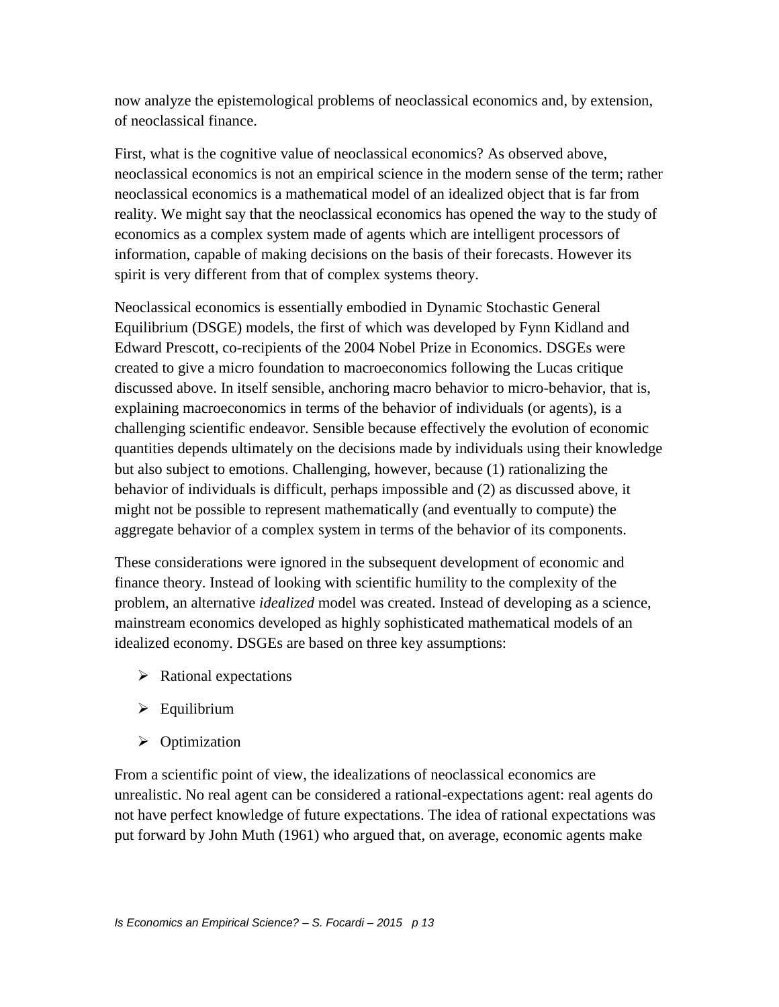now analyze the epistemological problems of neoclassical economics and, by extension, of neoclassical finance.

First, what is the cognitive value of neoclassical economics? As observed above, neoclassical economics is not an empirical science in the modern sense of the term; rather neoclassical economics is a mathematical model of an idealized object that is far from reality. We might say that the neoclassical economics has opened the way to the study of economics as a complex system made of agents which are intelligent processors of information, capable of making decisions on the basis of their forecasts. However its spirit is very different from that of complex systems theory.

Neoclassical economics is essentially embodied in Dynamic Stochastic General Equilibrium (DSGE) models, the first of which was developed by Fynn Kidland and Edward Prescott, co-recipients of the 2004 Nobel Prize in Economics. DSGEs were created to give a micro foundation to macroeconomics following the Lucas critique discussed above. In itself sensible, anchoring macro behavior to micro-behavior, that is, explaining macroeconomics in terms of the behavior of individuals (or agents), is a challenging scientific endeavor. Sensible because effectively the evolution of economic quantities depends ultimately on the decisions made by individuals using their knowledge but also subject to emotions. Challenging, however, because (1) rationalizing the behavior of individuals is difficult, perhaps impossible and (2) as discussed above, it might not be possible to represent mathematically (and eventually to compute) the aggregate behavior of a complex system in terms of the behavior of its components.

These considerations were ignored in the subsequent development of economic and finance theory. Instead of looking with scientific humility to the complexity of the problem, an alternative *idealized* model was created. Instead of developing as a science, mainstream economics developed as highly sophisticated mathematical models of an idealized economy. DSGEs are based on three key assumptions:

- $\triangleright$  Rational expectations
- $\triangleright$  Equilibrium
- $\triangleright$  Optimization

From a scientific point of view, the idealizations of neoclassical economics are unrealistic. No real agent can be considered a rational-expectations agent: real agents do not have perfect knowledge of future expectations. The idea of rational expectations was put forward by John Muth (1961) who argued that, on average, economic agents make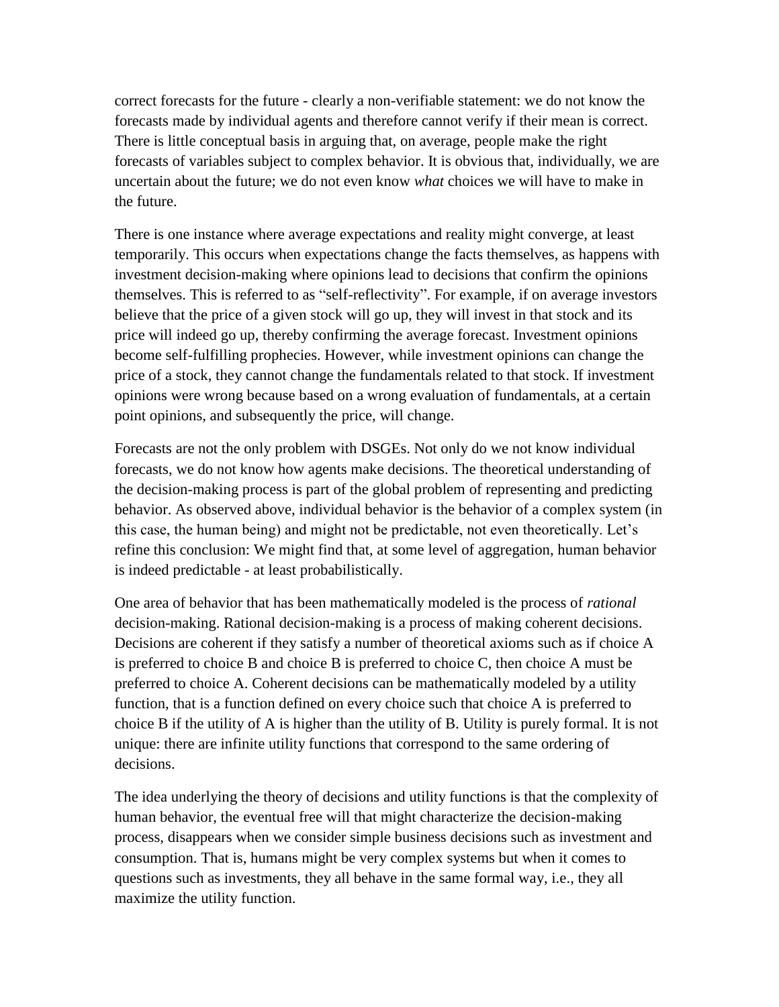correct forecasts for the future - clearly a non-verifiable statement: we do not know the forecasts made by individual agents and therefore cannot verify if their mean is correct. There is little conceptual basis in arguing that, on average, people make the right forecasts of variables subject to complex behavior. It is obvious that, individually, we are uncertain about the future; we do not even know *what* choices we will have to make in the future.

There is one instance where average expectations and reality might converge, at least temporarily. This occurs when expectations change the facts themselves, as happens with investment decision-making where opinions lead to decisions that confirm the opinions themselves. This is referred to as "self-reflectivity". For example, if on average investors believe that the price of a given stock will go up, they will invest in that stock and its price will indeed go up, thereby confirming the average forecast. Investment opinions become self-fulfilling prophecies. However, while investment opinions can change the price of a stock, they cannot change the fundamentals related to that stock. If investment opinions were wrong because based on a wrong evaluation of fundamentals, at a certain point opinions, and subsequently the price, will change.

Forecasts are not the only problem with DSGEs. Not only do we not know individual forecasts, we do not know how agents make decisions. The theoretical understanding of the decision-making process is part of the global problem of representing and predicting behavior. As observed above, individual behavior is the behavior of a complex system (in this case, the human being) and might not be predictable, not even theoretically. Let's refine this conclusion: We might find that, at some level of aggregation, human behavior is indeed predictable - at least probabilistically.

One area of behavior that has been mathematically modeled is the process of *rational* decision-making. Rational decision-making is a process of making coherent decisions. Decisions are coherent if they satisfy a number of theoretical axioms such as if choice A is preferred to choice B and choice B is preferred to choice C, then choice A must be preferred to choice A. Coherent decisions can be mathematically modeled by a utility function, that is a function defined on every choice such that choice A is preferred to choice B if the utility of A is higher than the utility of B. Utility is purely formal. It is not unique: there are infinite utility functions that correspond to the same ordering of decisions.

The idea underlying the theory of decisions and utility functions is that the complexity of human behavior, the eventual free will that might characterize the decision-making process, disappears when we consider simple business decisions such as investment and consumption. That is, humans might be very complex systems but when it comes to questions such as investments, they all behave in the same formal way, i.e., they all maximize the utility function.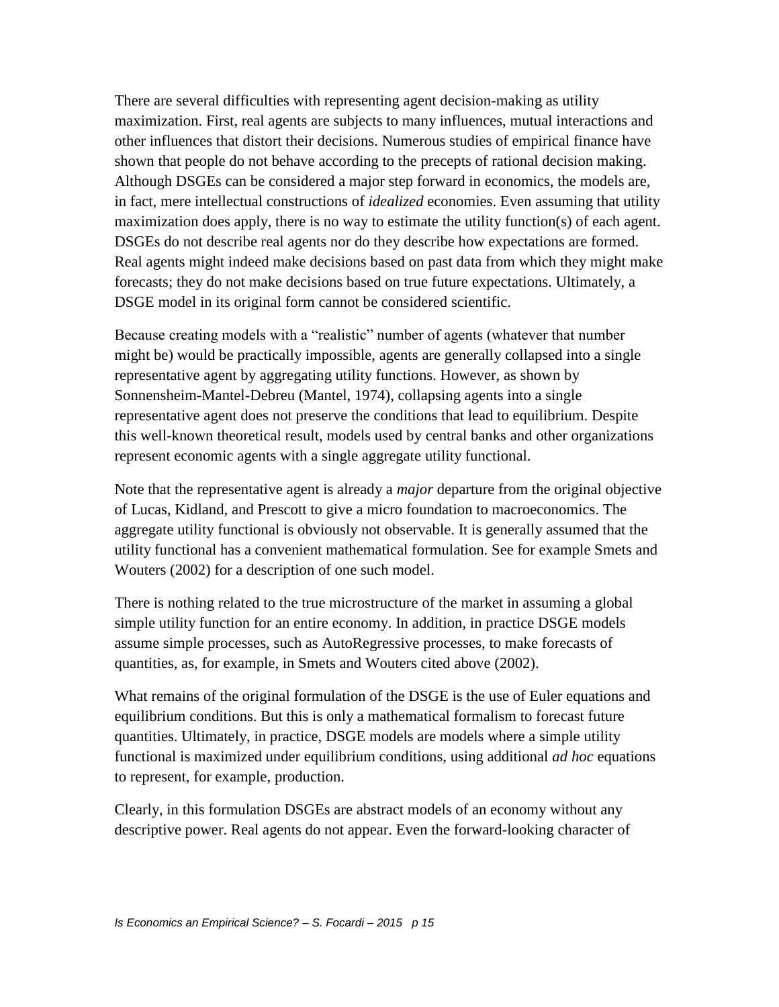There are several difficulties with representing agent decision-making as utility maximization. First, real agents are subjects to many influences, mutual interactions and other influences that distort their decisions. Numerous studies of empirical finance have shown that people do not behave according to the precepts of rational decision making. Although DSGEs can be considered a major step forward in economics, the models are, in fact, mere intellectual constructions of *idealized* economies. Even assuming that utility maximization does apply, there is no way to estimate the utility function(s) of each agent. DSGEs do not describe real agents nor do they describe how expectations are formed. Real agents might indeed make decisions based on past data from which they might make forecasts; they do not make decisions based on true future expectations. Ultimately, a DSGE model in its original form cannot be considered scientific.

Because creating models with a "realistic" number of agents (whatever that number might be) would be practically impossible, agents are generally collapsed into a single representative agent by aggregating utility functions. However, as shown by Sonnensheim-Mantel-Debreu (Mantel, 1974), collapsing agents into a single representative agent does not preserve the conditions that lead to equilibrium. Despite this well-known theoretical result, models used by central banks and other organizations represent economic agents with a single aggregate utility functional.

Note that the representative agent is already a *major* departure from the original objective of Lucas, Kidland, and Prescott to give a micro foundation to macroeconomics. The aggregate utility functional is obviously not observable. It is generally assumed that the utility functional has a convenient mathematical formulation. See for example Smets and Wouters (2002) for a description of one such model.

There is nothing related to the true microstructure of the market in assuming a global simple utility function for an entire economy. In addition, in practice DSGE models assume simple processes, such as AutoRegressive processes, to make forecasts of quantities, as, for example, in Smets and Wouters cited above (2002).

What remains of the original formulation of the DSGE is the use of Euler equations and equilibrium conditions. But this is only a mathematical formalism to forecast future quantities. Ultimately, in practice, DSGE models are models where a simple utility functional is maximized under equilibrium conditions, using additional *ad hoc* equations to represent, for example, production.

Clearly, in this formulation DSGEs are abstract models of an economy without any descriptive power. Real agents do not appear. Even the forward-looking character of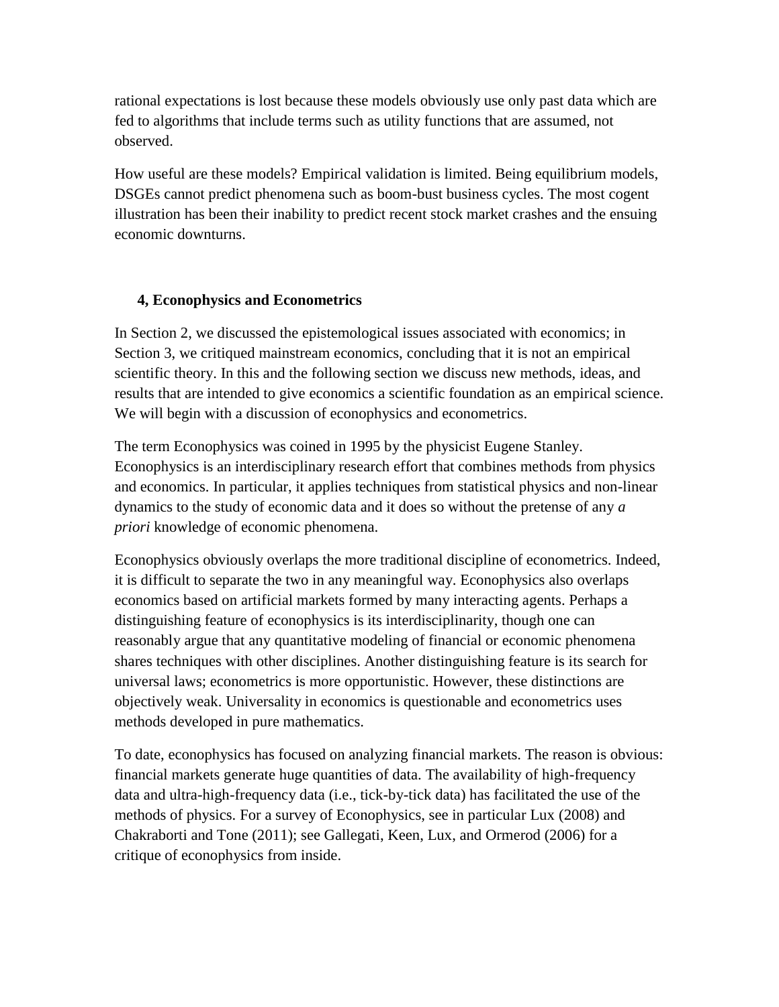rational expectations is lost because these models obviously use only past data which are fed to algorithms that include terms such as utility functions that are assumed, not observed.

How useful are these models? Empirical validation is limited. Being equilibrium models, DSGEs cannot predict phenomena such as boom-bust business cycles. The most cogent illustration has been their inability to predict recent stock market crashes and the ensuing economic downturns.

## **4, Econophysics and Econometrics**

In Section 2, we discussed the epistemological issues associated with economics; in Section 3, we critiqued mainstream economics, concluding that it is not an empirical scientific theory. In this and the following section we discuss new methods, ideas, and results that are intended to give economics a scientific foundation as an empirical science. We will begin with a discussion of econophysics and econometrics.

The term Econophysics was coined in 1995 by the physicist Eugene Stanley. Econophysics is an interdisciplinary research effort that combines methods from physics and economics. In particular, it applies techniques from statistical physics and non-linear dynamics to the study of economic data and it does so without the pretense of any *a priori* knowledge of economic phenomena.

Econophysics obviously overlaps the more traditional discipline of econometrics. Indeed, it is difficult to separate the two in any meaningful way. Econophysics also overlaps economics based on artificial markets formed by many interacting agents. Perhaps a distinguishing feature of econophysics is its interdisciplinarity, though one can reasonably argue that any quantitative modeling of financial or economic phenomena shares techniques with other disciplines. Another distinguishing feature is its search for universal laws; econometrics is more opportunistic. However, these distinctions are objectively weak. Universality in economics is questionable and econometrics uses methods developed in pure mathematics.

To date, econophysics has focused on analyzing financial markets. The reason is obvious: financial markets generate huge quantities of data. The availability of high-frequency data and ultra-high-frequency data (i.e., tick-by-tick data) has facilitated the use of the methods of physics. For a survey of Econophysics, see in particular Lux (2008) and Chakraborti and Tone (2011); see Gallegati, Keen, Lux, and Ormerod (2006) for a critique of econophysics from inside.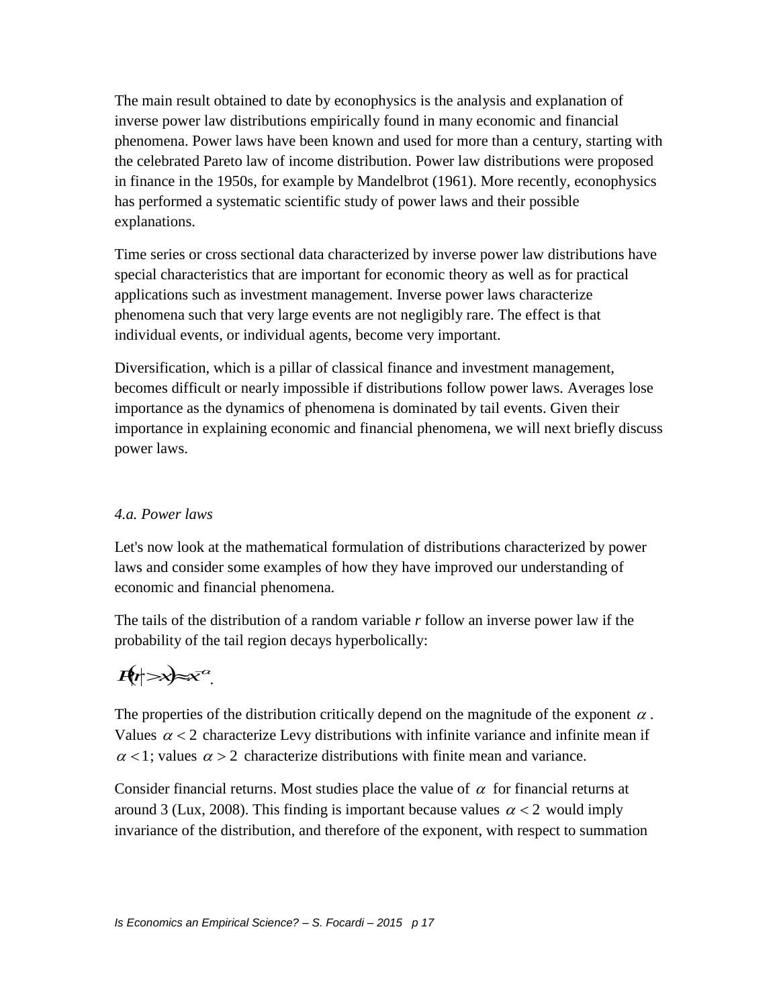The main result obtained to date by econophysics is the analysis and explanation of inverse power law distributions empirically found in many economic and financial phenomena. Power laws have been known and used for more than a century, starting with the celebrated Pareto law of income distribution. Power law distributions were proposed in finance in the 1950s, for example by Mandelbrot (1961). More recently, econophysics has performed a systematic scientific study of power laws and their possible explanations.

Time series or cross sectional data characterized by inverse power law distributions have special characteristics that are important for economic theory as well as for practical applications such as investment management. Inverse power laws characterize phenomena such that very large events are not negligibly rare. The effect is that individual events, or individual agents, become very important.

Diversification, which is a pillar of classical finance and investment management, becomes difficult or nearly impossible if distributions follow power laws. Averages lose importance as the dynamics of phenomena is dominated by tail events. Given their importance in explaining economic and financial phenomena, we will next briefly discuss power laws.

### *4.a. Power laws*

Let's now look at the mathematical formulation of distributions characterized by power laws and consider some examples of how they have improved our understanding of economic and financial phenomena.

The tails of the distribution of a random variable *r* follow an inverse power law if the probability of the tail region decays hyperbolically:

# $P(x) \approx x^{\alpha}$ .

The properties of the distribution critically depend on the magnitude of the exponent  $\alpha$ . Values  $\alpha$  < 2 characterize Levy distributions with infinite variance and infinite mean if  $\alpha$  < 1; values  $\alpha$  > 2 characterize distributions with finite mean and variance.

Consider financial returns. Most studies place the value of  $\alpha$  for financial returns at around 3 (Lux, 2008). This finding is important because values  $\alpha < 2$  would imply invariance of the distribution, and therefore of the exponent, with respect to summation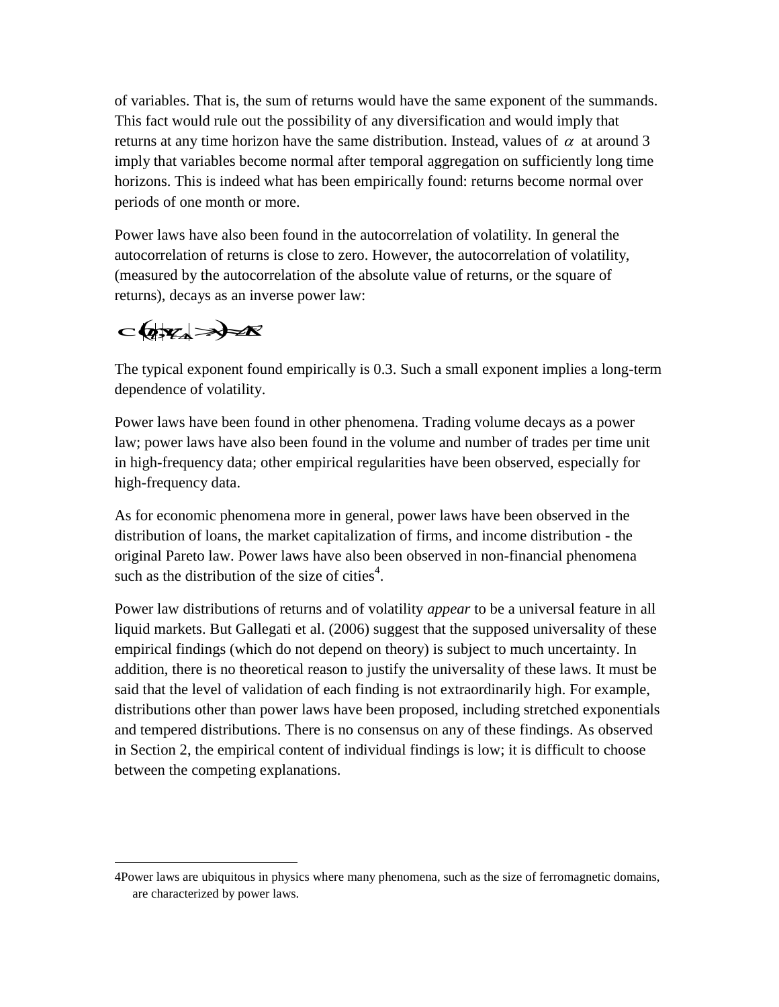of variables. That is, the sum of returns would have the same exponent of the summands. This fact would rule out the possibility of any diversification and would imply that returns at any time horizon have the same distribution. Instead, values of  $\alpha$  at around 3 imply that variables become normal after temporal aggregation on sufficiently long time horizons. This is indeed what has been empirically found: returns become normal over periods of one month or more.

Power laws have also been found in the autocorrelation of volatility. In general the autocorrelation of returns is close to zero. However, the autocorrelation of volatility, (measured by the autocorrelation of the absolute value of returns, or the square of returns), decays as an inverse power law:

 cov*rt*,*rttxt*

 $\overline{a}$ 

The typical exponent found empirically is 0.3. Such a small exponent implies a long-term dependence of volatility.

Power laws have been found in other phenomena. Trading volume decays as a power law; power laws have also been found in the volume and number of trades per time unit in high-frequency data; other empirical regularities have been observed, especially for high-frequency data.

As for economic phenomena more in general, power laws have been observed in the distribution of loans, the market capitalization of firms, and income distribution - the original Pareto law. Power laws have also been observed in non-financial phenomena such as the distribution of the size of cities<sup>4</sup>.

Power law distributions of returns and of volatility *appear* to be a universal feature in all liquid markets. But Gallegati et al. (2006) suggest that the supposed universality of these empirical findings (which do not depend on theory) is subject to much uncertainty. In addition, there is no theoretical reason to justify the universality of these laws. It must be said that the level of validation of each finding is not extraordinarily high. For example, distributions other than power laws have been proposed, including stretched exponentials and tempered distributions. There is no consensus on any of these findings. As observed in Section 2, the empirical content of individual findings is low; it is difficult to choose between the competing explanations.

<sup>4</sup>Power laws are ubiquitous in physics where many phenomena, such as the size of ferromagnetic domains, are characterized by power laws.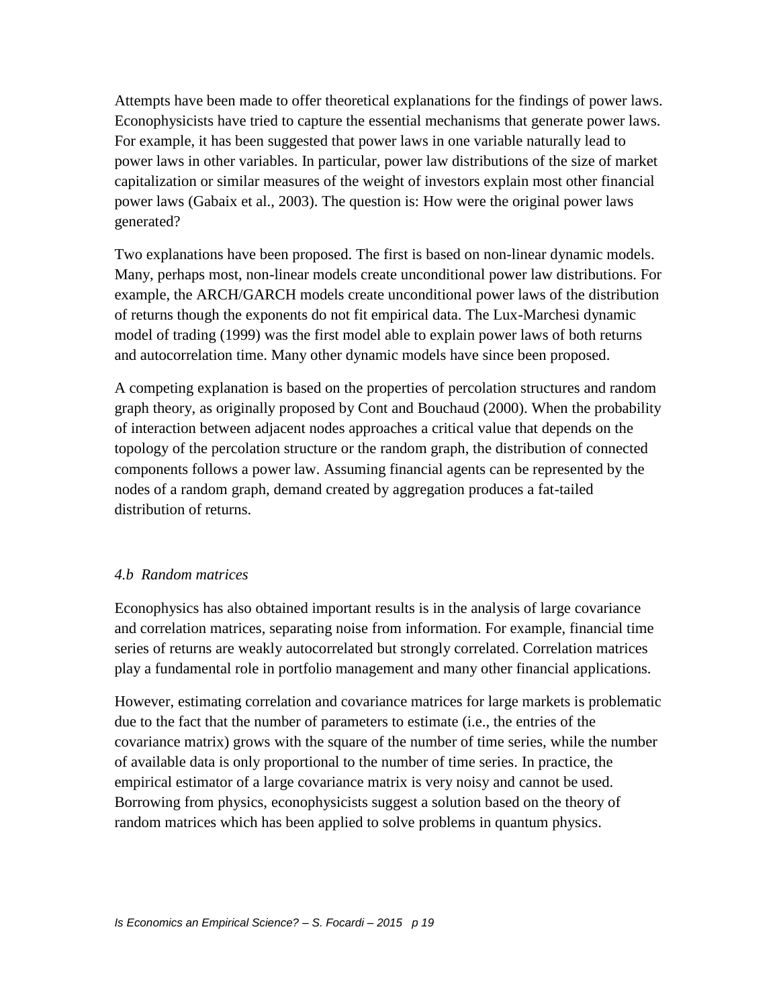Attempts have been made to offer theoretical explanations for the findings of power laws. Econophysicists have tried to capture the essential mechanisms that generate power laws. For example, it has been suggested that power laws in one variable naturally lead to power laws in other variables. In particular, power law distributions of the size of market capitalization or similar measures of the weight of investors explain most other financial power laws (Gabaix et al., 2003). The question is: How were the original power laws generated?

Two explanations have been proposed. The first is based on non-linear dynamic models. Many, perhaps most, non-linear models create unconditional power law distributions. For example, the ARCH/GARCH models create unconditional power laws of the distribution of returns though the exponents do not fit empirical data. The Lux-Marchesi dynamic model of trading (1999) was the first model able to explain power laws of both returns and autocorrelation time. Many other dynamic models have since been proposed.

A competing explanation is based on the properties of percolation structures and random graph theory, as originally proposed by Cont and Bouchaud (2000). When the probability of interaction between adjacent nodes approaches a critical value that depends on the topology of the percolation structure or the random graph, the distribution of connected components follows a power law. Assuming financial agents can be represented by the nodes of a random graph, demand created by aggregation produces a fat-tailed distribution of returns.

### *4.b Random matrices*

Econophysics has also obtained important results is in the analysis of large covariance and correlation matrices, separating noise from information. For example, financial time series of returns are weakly autocorrelated but strongly correlated. Correlation matrices play a fundamental role in portfolio management and many other financial applications.

However, estimating correlation and covariance matrices for large markets is problematic due to the fact that the number of parameters to estimate (i.e., the entries of the covariance matrix) grows with the square of the number of time series, while the number of available data is only proportional to the number of time series. In practice, the empirical estimator of a large covariance matrix is very noisy and cannot be used. Borrowing from physics, econophysicists suggest a solution based on the theory of random matrices which has been applied to solve problems in quantum physics.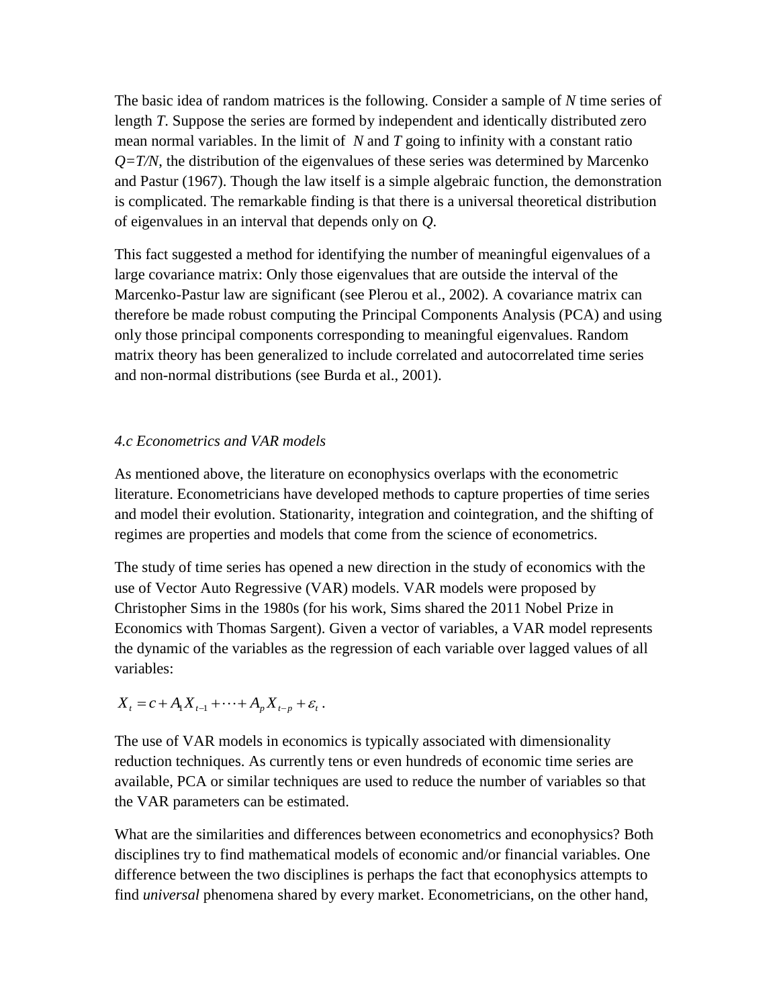The basic idea of random matrices is the following. Consider a sample of *N* time series of length *T*. Suppose the series are formed by independent and identically distributed zero mean normal variables. In the limit of *N* and *T* going to infinity with a constant ratio  $Q=T/N$ , the distribution of the eigenvalues of these series was determined by Marcenko and Pastur (1967). Though the law itself is a simple algebraic function, the demonstration is complicated. The remarkable finding is that there is a universal theoretical distribution of eigenvalues in an interval that depends only on *Q*.

This fact suggested a method for identifying the number of meaningful eigenvalues of a large covariance matrix: Only those eigenvalues that are outside the interval of the Marcenko-Pastur law are significant (see Plerou et al., 2002). A covariance matrix can therefore be made robust computing the Principal Components Analysis (PCA) and using only those principal components corresponding to meaningful eigenvalues. Random matrix theory has been generalized to include correlated and autocorrelated time series and non-normal distributions (see Burda et al., 2001).

### *4.c Econometrics and VAR models*

As mentioned above, the literature on econophysics overlaps with the econometric literature. Econometricians have developed methods to capture properties of time series and model their evolution. Stationarity, integration and cointegration, and the shifting of regimes are properties and models that come from the science of econometrics.

The study of time series has opened a new direction in the study of economics with the use of Vector Auto Regressive (VAR) models. VAR models were proposed by Christopher Sims in the 1980s (for his work, Sims shared the 2011 Nobel Prize in Economics with Thomas Sargent). Given a vector of variables, a VAR model represents the dynamic of the variables as the regression of each variable over lagged values of all variables:

 $X_t = c + A_1 X_{t-1} + \cdots + A_p X_{t-p} + \varepsilon_t$ .

The use of VAR models in economics is typically associated with dimensionality reduction techniques. As currently tens or even hundreds of economic time series are available, PCA or similar techniques are used to reduce the number of variables so that the VAR parameters can be estimated.

What are the similarities and differences between econometrics and econophysics? Both disciplines try to find mathematical models of economic and/or financial variables. One difference between the two disciplines is perhaps the fact that econophysics attempts to find *universal* phenomena shared by every market. Econometricians, on the other hand,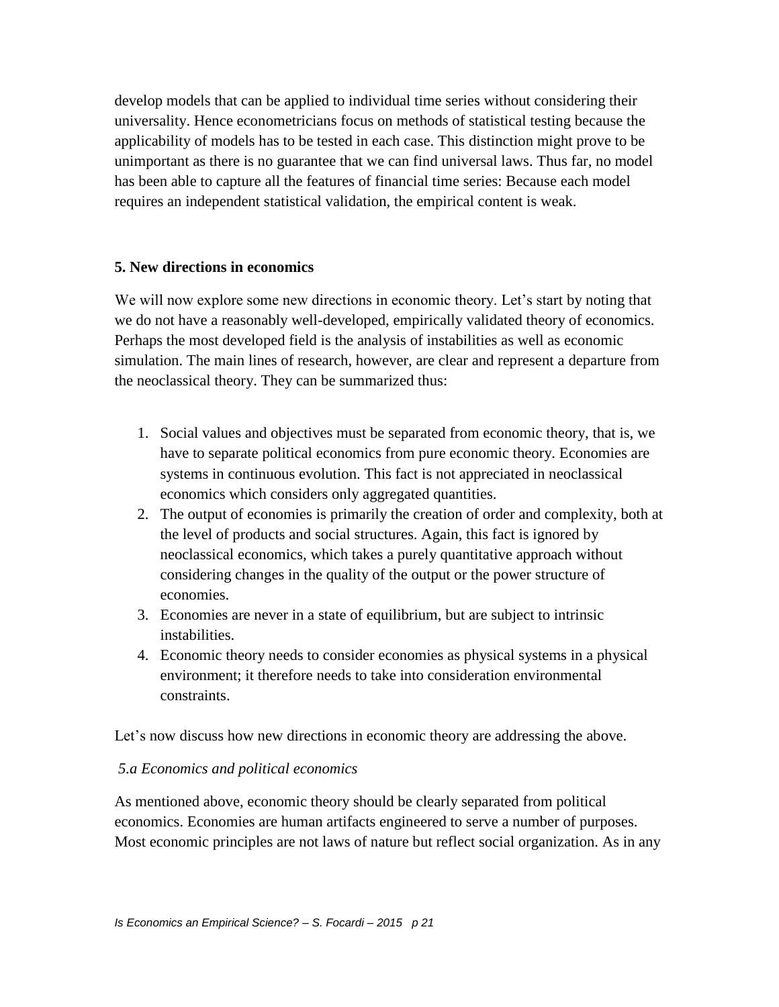develop models that can be applied to individual time series without considering their universality. Hence econometricians focus on methods of statistical testing because the applicability of models has to be tested in each case. This distinction might prove to be unimportant as there is no guarantee that we can find universal laws. Thus far, no model has been able to capture all the features of financial time series: Because each model requires an independent statistical validation, the empirical content is weak.

### **5. New directions in economics**

We will now explore some new directions in economic theory. Let's start by noting that we do not have a reasonably well-developed, empirically validated theory of economics. Perhaps the most developed field is the analysis of instabilities as well as economic simulation. The main lines of research, however, are clear and represent a departure from the neoclassical theory. They can be summarized thus:

- 1. Social values and objectives must be separated from economic theory, that is, we have to separate political economics from pure economic theory. Economies are systems in continuous evolution. This fact is not appreciated in neoclassical economics which considers only aggregated quantities.
- 2. The output of economies is primarily the creation of order and complexity, both at the level of products and social structures. Again, this fact is ignored by neoclassical economics, which takes a purely quantitative approach without considering changes in the quality of the output or the power structure of economies.
- 3. Economies are never in a state of equilibrium, but are subject to intrinsic instabilities.
- 4. Economic theory needs to consider economies as physical systems in a physical environment; it therefore needs to take into consideration environmental constraints.

Let's now discuss how new directions in economic theory are addressing the above.

### *5.a Economics and political economics*

As mentioned above, economic theory should be clearly separated from political economics. Economies are human artifacts engineered to serve a number of purposes. Most economic principles are not laws of nature but reflect social organization. As in any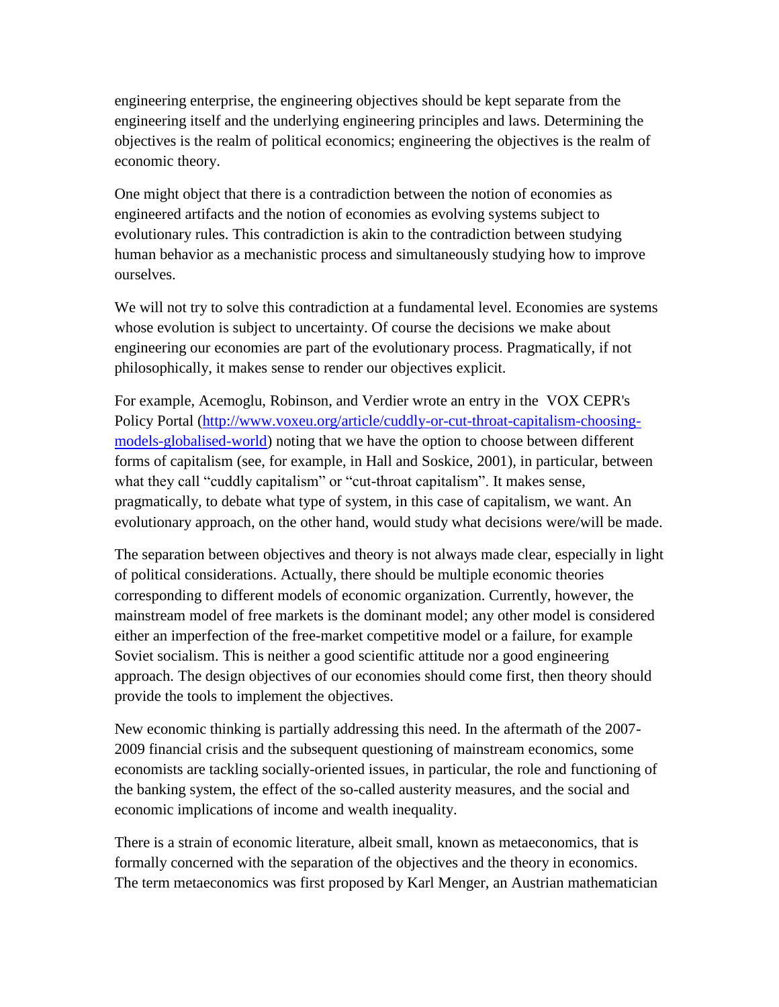engineering enterprise, the engineering objectives should be kept separate from the engineering itself and the underlying engineering principles and laws. Determining the objectives is the realm of political economics; engineering the objectives is the realm of economic theory.

One might object that there is a contradiction between the notion of economies as engineered artifacts and the notion of economies as evolving systems subject to evolutionary rules. This contradiction is akin to the contradiction between studying human behavior as a mechanistic process and simultaneously studying how to improve ourselves.

We will not try to solve this contradiction at a fundamental level. Economies are systems whose evolution is subject to uncertainty. Of course the decisions we make about engineering our economies are part of the evolutionary process. Pragmatically, if not philosophically, it makes sense to render our objectives explicit.

For example, Acemoglu, Robinson, and Verdier wrote an entry in the VOX CEPR's Policy Portal [\(http://www.voxeu.org/article/cuddly-or-cut-throat-capitalism-choosing](http://www.voxeu.org/article/cuddly-or-cut-throat-capitalism-choosing-models-globalised-world)[models-globalised-world\)](http://www.voxeu.org/article/cuddly-or-cut-throat-capitalism-choosing-models-globalised-world) noting that we have the option to choose between different forms of capitalism (see, for example, in Hall and Soskice, 2001), in particular, between what they call "cuddly capitalism" or "cut-throat capitalism". It makes sense, pragmatically, to debate what type of system, in this case of capitalism, we want. An evolutionary approach, on the other hand, would study what decisions were/will be made.

The separation between objectives and theory is not always made clear, especially in light of political considerations. Actually, there should be multiple economic theories corresponding to different models of economic organization. Currently, however, the mainstream model of free markets is the dominant model; any other model is considered either an imperfection of the free-market competitive model or a failure, for example Soviet socialism. This is neither a good scientific attitude nor a good engineering approach. The design objectives of our economies should come first, then theory should provide the tools to implement the objectives.

New economic thinking is partially addressing this need. In the aftermath of the 2007- 2009 financial crisis and the subsequent questioning of mainstream economics, some economists are tackling socially-oriented issues, in particular, the role and functioning of the banking system, the effect of the so-called austerity measures, and the social and economic implications of income and wealth inequality.

There is a strain of economic literature, albeit small, known as metaeconomics, that is formally concerned with the separation of the objectives and the theory in economics. The term metaeconomics was first proposed by Karl Menger, an Austrian mathematician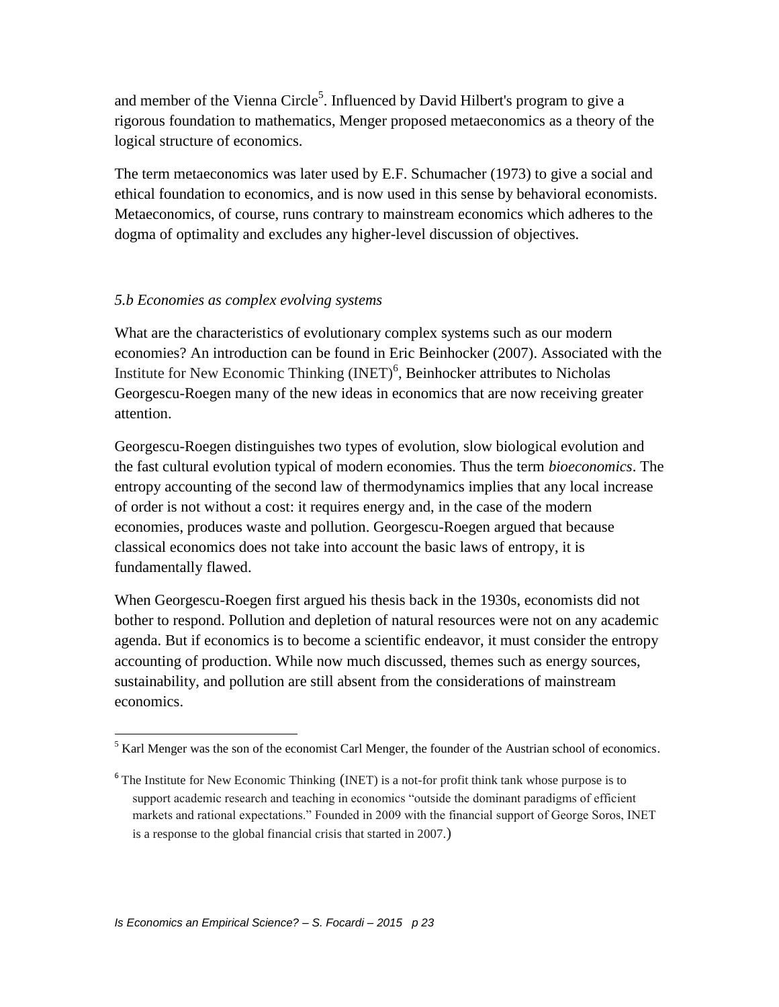and member of the Vienna Circle<sup>5</sup>. Influenced by David Hilbert's program to give a rigorous foundation to mathematics, Menger proposed metaeconomics as a theory of the logical structure of economics.

The term metaeconomics was later used by E.F. Schumacher (1973) to give a social and ethical foundation to economics, and is now used in this sense by behavioral economists. Metaeconomics, of course, runs contrary to mainstream economics which adheres to the dogma of optimality and excludes any higher-level discussion of objectives.

### *5.b Economies as complex evolving systems*

What are the characteristics of evolutionary complex systems such as our modern economies? An introduction can be found in Eric Beinhocker (2007). Associated with the Institute for New Economic Thinking  $(NET)^6$ , Beinhocker attributes to Nicholas Georgescu-Roegen many of the new ideas in economics that are now receiving greater attention.

Georgescu-Roegen distinguishes two types of evolution, slow biological evolution and the fast cultural evolution typical of modern economies. Thus the term *bioeconomics*. The entropy accounting of the second law of thermodynamics implies that any local increase of order is not without a cost: it requires energy and, in the case of the modern economies, produces waste and pollution. Georgescu-Roegen argued that because classical economics does not take into account the basic laws of entropy, it is fundamentally flawed.

When Georgescu-Roegen first argued his thesis back in the 1930s, economists did not bother to respond. Pollution and depletion of natural resources were not on any academic agenda. But if economics is to become a scientific endeavor, it must consider the entropy accounting of production. While now much discussed, themes such as energy sources, sustainability, and pollution are still absent from the considerations of mainstream economics.

 $\overline{a}$  $<sup>5</sup>$  Karl Menger was the son of the economist Carl Menger, the founder of the Austrian school of economics.</sup>

<sup>&</sup>lt;sup>6</sup> The Institute for New Economic Thinking (INET) is a not-for profit think tank whose purpose is to support academic research and teaching in economics "outside the dominant paradigms of efficient markets and rational expectations." Founded in 2009 with the financial support of George Soros, INET is a response to the global financial crisis that started in 2007.)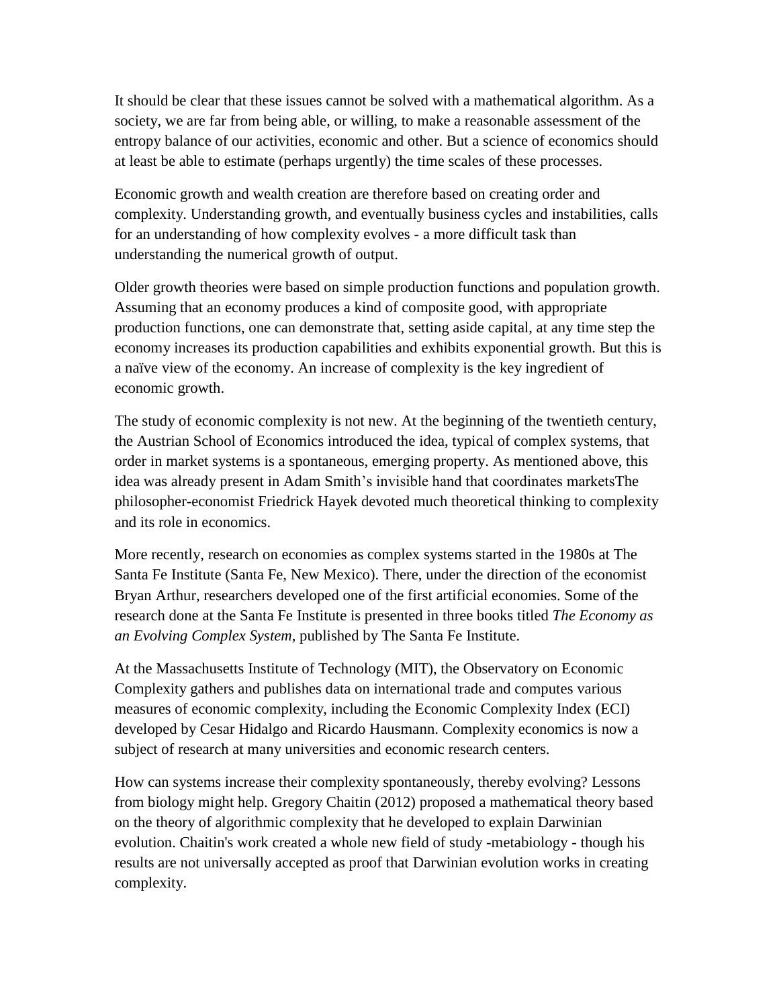It should be clear that these issues cannot be solved with a mathematical algorithm. As a society, we are far from being able, or willing, to make a reasonable assessment of the entropy balance of our activities, economic and other. But a science of economics should at least be able to estimate (perhaps urgently) the time scales of these processes.

Economic growth and wealth creation are therefore based on creating order and complexity. Understanding growth, and eventually business cycles and instabilities, calls for an understanding of how complexity evolves - a more difficult task than understanding the numerical growth of output.

Older growth theories were based on simple production functions and population growth. Assuming that an economy produces a kind of composite good, with appropriate production functions, one can demonstrate that, setting aside capital, at any time step the economy increases its production capabilities and exhibits exponential growth. But this is a naïve view of the economy. An increase of complexity is the key ingredient of economic growth.

The study of economic complexity is not new. At the beginning of the twentieth century, the Austrian School of Economics introduced the idea, typical of complex systems, that order in market systems is a spontaneous, emerging property. As mentioned above, this idea was already present in Adam Smith's invisible hand that coordinates marketsThe philosopher-economist Friedrick Hayek devoted much theoretical thinking to complexity and its role in economics.

More recently, research on economies as complex systems started in the 1980s at The Santa Fe Institute (Santa Fe, New Mexico). There, under the direction of the economist Bryan Arthur, researchers developed one of the first artificial economies. Some of the research done at the Santa Fe Institute is presented in three books titled *The Economy as an Evolving Complex System*, published by The Santa Fe Institute.

At the Massachusetts Institute of Technology (MIT), the Observatory on Economic Complexity gathers and publishes data on international trade and computes various measures of economic complexity, including the Economic Complexity Index (ECI) developed by Cesar Hidalgo and Ricardo Hausmann. Complexity economics is now a subject of research at many universities and economic research centers.

How can systems increase their complexity spontaneously, thereby evolving? Lessons from biology might help. Gregory Chaitin (2012) proposed a mathematical theory based on the theory of algorithmic complexity that he developed to explain Darwinian evolution. Chaitin's work created a whole new field of study -metabiology - though his results are not universally accepted as proof that Darwinian evolution works in creating complexity.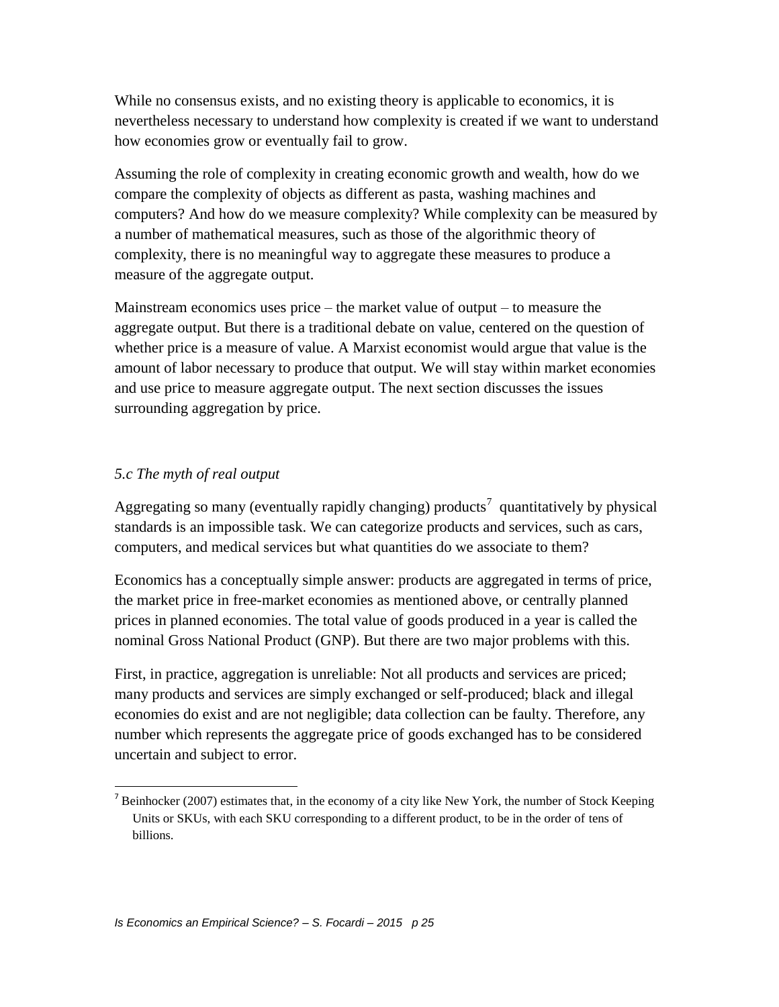While no consensus exists, and no existing theory is applicable to economics, it is nevertheless necessary to understand how complexity is created if we want to understand how economies grow or eventually fail to grow.

Assuming the role of complexity in creating economic growth and wealth, how do we compare the complexity of objects as different as pasta, washing machines and computers? And how do we measure complexity? While complexity can be measured by a number of mathematical measures, such as those of the algorithmic theory of complexity, there is no meaningful way to aggregate these measures to produce a measure of the aggregate output.

Mainstream economics uses price – the market value of output – to measure the aggregate output. But there is a traditional debate on value, centered on the question of whether price is a measure of value. A Marxist economist would argue that value is the amount of labor necessary to produce that output. We will stay within market economies and use price to measure aggregate output. The next section discusses the issues surrounding aggregation by price.

### *5.c The myth of real output*

 $\overline{\phantom{a}}$ 

Aggregating so many (eventually rapidly changing) products<sup>7</sup> quantitatively by physical standards is an impossible task. We can categorize products and services, such as cars, computers, and medical services but what quantities do we associate to them?

Economics has a conceptually simple answer: products are aggregated in terms of price, the market price in free-market economies as mentioned above, or centrally planned prices in planned economies. The total value of goods produced in a year is called the nominal Gross National Product (GNP). But there are two major problems with this.

First, in practice, aggregation is unreliable: Not all products and services are priced; many products and services are simply exchanged or self-produced; black and illegal economies do exist and are not negligible; data collection can be faulty. Therefore, any number which represents the aggregate price of goods exchanged has to be considered uncertain and subject to error.

<sup>&</sup>lt;sup>7</sup> Beinhocker (2007) estimates that, in the economy of a city like New York, the number of Stock Keeping Units or SKUs, with each SKU corresponding to a different product, to be in the order of tens of billions.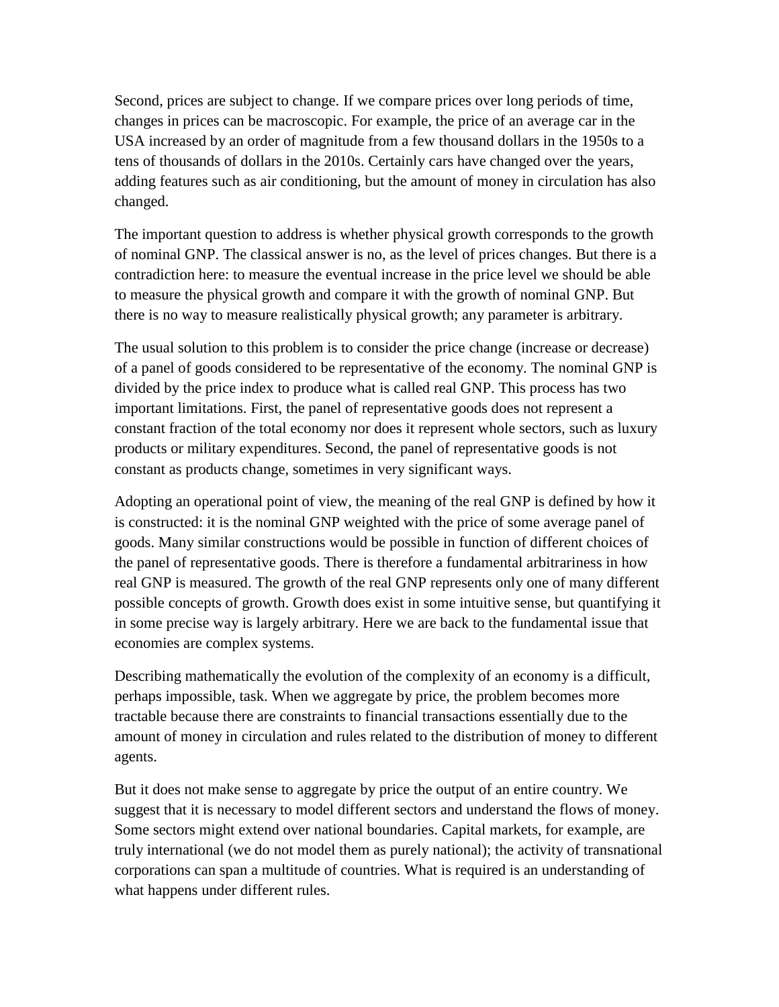Second, prices are subject to change. If we compare prices over long periods of time, changes in prices can be macroscopic. For example, the price of an average car in the USA increased by an order of magnitude from a few thousand dollars in the 1950s to a tens of thousands of dollars in the 2010s. Certainly cars have changed over the years, adding features such as air conditioning, but the amount of money in circulation has also changed.

The important question to address is whether physical growth corresponds to the growth of nominal GNP. The classical answer is no, as the level of prices changes. But there is a contradiction here: to measure the eventual increase in the price level we should be able to measure the physical growth and compare it with the growth of nominal GNP. But there is no way to measure realistically physical growth; any parameter is arbitrary.

The usual solution to this problem is to consider the price change (increase or decrease) of a panel of goods considered to be representative of the economy. The nominal GNP is divided by the price index to produce what is called real GNP. This process has two important limitations. First, the panel of representative goods does not represent a constant fraction of the total economy nor does it represent whole sectors, such as luxury products or military expenditures. Second, the panel of representative goods is not constant as products change, sometimes in very significant ways.

Adopting an operational point of view, the meaning of the real GNP is defined by how it is constructed: it is the nominal GNP weighted with the price of some average panel of goods. Many similar constructions would be possible in function of different choices of the panel of representative goods. There is therefore a fundamental arbitrariness in how real GNP is measured. The growth of the real GNP represents only one of many different possible concepts of growth. Growth does exist in some intuitive sense, but quantifying it in some precise way is largely arbitrary. Here we are back to the fundamental issue that economies are complex systems.

Describing mathematically the evolution of the complexity of an economy is a difficult, perhaps impossible, task. When we aggregate by price, the problem becomes more tractable because there are constraints to financial transactions essentially due to the amount of money in circulation and rules related to the distribution of money to different agents.

But it does not make sense to aggregate by price the output of an entire country. We suggest that it is necessary to model different sectors and understand the flows of money. Some sectors might extend over national boundaries. Capital markets, for example, are truly international (we do not model them as purely national); the activity of transnational corporations can span a multitude of countries. What is required is an understanding of what happens under different rules.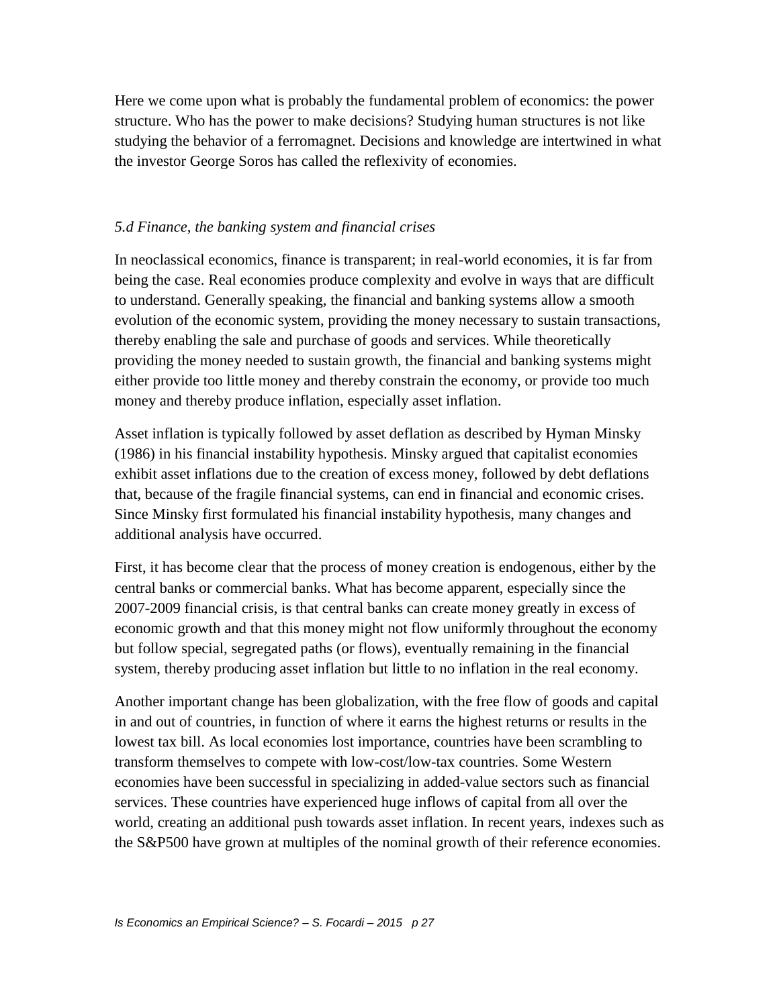Here we come upon what is probably the fundamental problem of economics: the power structure. Who has the power to make decisions? Studying human structures is not like studying the behavior of a ferromagnet. Decisions and knowledge are intertwined in what the investor George Soros has called the reflexivity of economies.

### *5.d Finance, the banking system and financial crises*

In neoclassical economics, finance is transparent; in real-world economies, it is far from being the case. Real economies produce complexity and evolve in ways that are difficult to understand. Generally speaking, the financial and banking systems allow a smooth evolution of the economic system, providing the money necessary to sustain transactions, thereby enabling the sale and purchase of goods and services. While theoretically providing the money needed to sustain growth, the financial and banking systems might either provide too little money and thereby constrain the economy, or provide too much money and thereby produce inflation, especially asset inflation.

Asset inflation is typically followed by asset deflation as described by Hyman Minsky (1986) in his financial instability hypothesis. Minsky argued that capitalist economies exhibit asset inflations due to the creation of excess money, followed by debt deflations that, because of the fragile financial systems, can end in financial and economic crises. Since Minsky first formulated his financial instability hypothesis, many changes and additional analysis have occurred.

First, it has become clear that the process of money creation is endogenous, either by the central banks or commercial banks. What has become apparent, especially since the 2007-2009 financial crisis, is that central banks can create money greatly in excess of economic growth and that this money might not flow uniformly throughout the economy but follow special, segregated paths (or flows), eventually remaining in the financial system, thereby producing asset inflation but little to no inflation in the real economy.

Another important change has been globalization, with the free flow of goods and capital in and out of countries, in function of where it earns the highest returns or results in the lowest tax bill. As local economies lost importance, countries have been scrambling to transform themselves to compete with low-cost/low-tax countries. Some Western economies have been successful in specializing in added-value sectors such as financial services. These countries have experienced huge inflows of capital from all over the world, creating an additional push towards asset inflation. In recent years, indexes such as the S&P500 have grown at multiples of the nominal growth of their reference economies.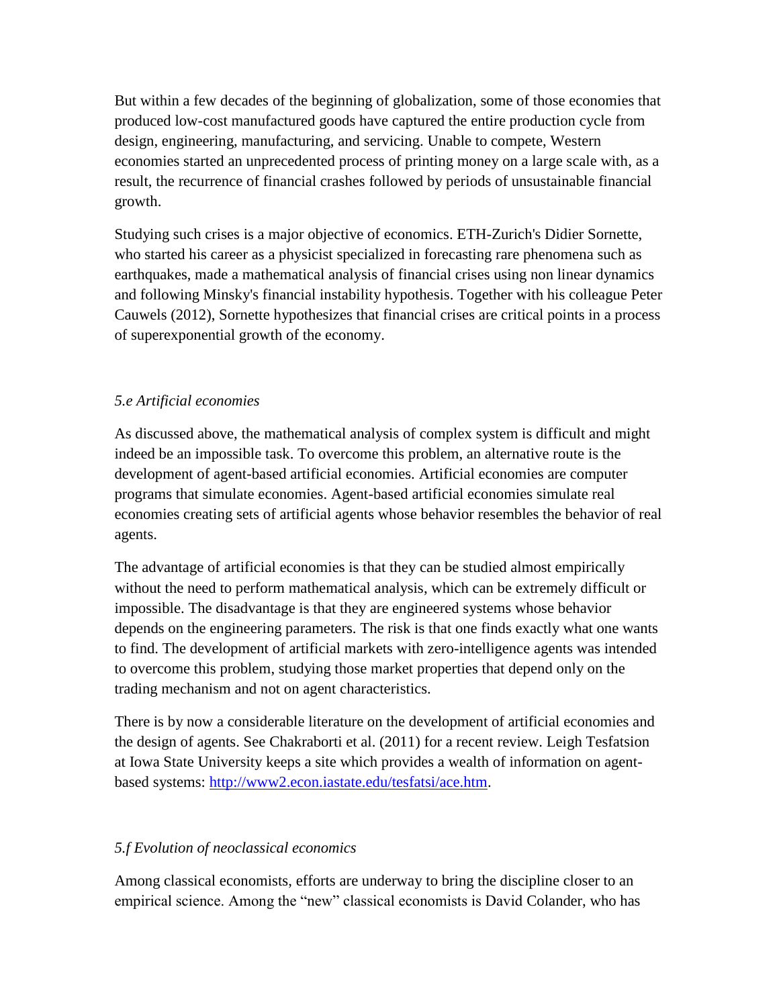But within a few decades of the beginning of globalization, some of those economies that produced low-cost manufactured goods have captured the entire production cycle from design, engineering, manufacturing, and servicing. Unable to compete, Western economies started an unprecedented process of printing money on a large scale with, as a result, the recurrence of financial crashes followed by periods of unsustainable financial growth.

Studying such crises is a major objective of economics. ETH-Zurich's Didier Sornette, who started his career as a physicist specialized in forecasting rare phenomena such as earthquakes, made a mathematical analysis of financial crises using non linear dynamics and following Minsky's financial instability hypothesis. Together with his colleague Peter Cauwels (2012), Sornette hypothesizes that financial crises are critical points in a process of superexponential growth of the economy.

## *5.e Artificial economies*

As discussed above, the mathematical analysis of complex system is difficult and might indeed be an impossible task. To overcome this problem, an alternative route is the development of agent-based artificial economies. Artificial economies are computer programs that simulate economies. Agent-based artificial economies simulate real economies creating sets of artificial agents whose behavior resembles the behavior of real agents.

The advantage of artificial economies is that they can be studied almost empirically without the need to perform mathematical analysis, which can be extremely difficult or impossible. The disadvantage is that they are engineered systems whose behavior depends on the engineering parameters. The risk is that one finds exactly what one wants to find. The development of artificial markets with zero-intelligence agents was intended to overcome this problem, studying those market properties that depend only on the trading mechanism and not on agent characteristics.

There is by now a considerable literature on the development of artificial economies and the design of agents. See Chakraborti et al. (2011) for a recent review. Leigh Tesfatsion at Iowa State University keeps a site which provides a wealth of information on agentbased systems: [http://www2.econ.iastate.edu/tesfatsi/ace.htm.](http://www2.econ.iastate.edu/tesfatsi/ace.htm)

## *5.f Evolution of neoclassical economics*

Among classical economists, efforts are underway to bring the discipline closer to an empirical science. Among the "new" classical economists is David Colander, who has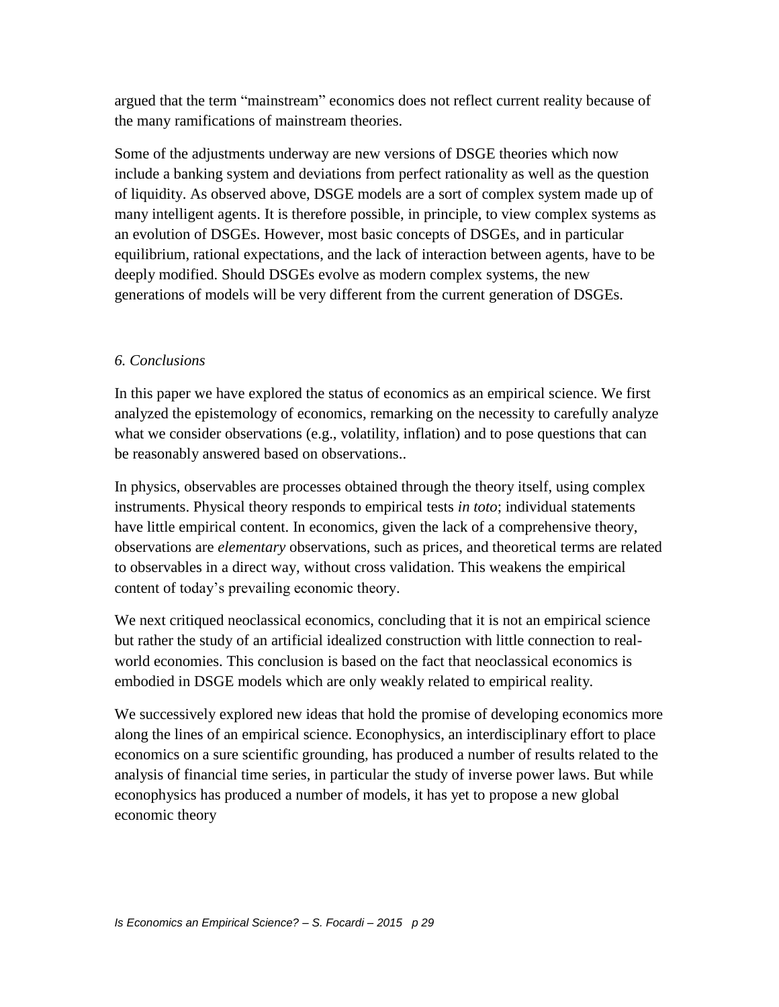argued that the term "mainstream" economics does not reflect current reality because of the many ramifications of mainstream theories.

Some of the adjustments underway are new versions of DSGE theories which now include a banking system and deviations from perfect rationality as well as the question of liquidity. As observed above, DSGE models are a sort of complex system made up of many intelligent agents. It is therefore possible, in principle, to view complex systems as an evolution of DSGEs. However, most basic concepts of DSGEs, and in particular equilibrium, rational expectations, and the lack of interaction between agents, have to be deeply modified. Should DSGEs evolve as modern complex systems, the new generations of models will be very different from the current generation of DSGEs.

### *6. Conclusions*

In this paper we have explored the status of economics as an empirical science. We first analyzed the epistemology of economics, remarking on the necessity to carefully analyze what we consider observations (e.g., volatility, inflation) and to pose questions that can be reasonably answered based on observations..

In physics, observables are processes obtained through the theory itself, using complex instruments. Physical theory responds to empirical tests *in toto*; individual statements have little empirical content. In economics, given the lack of a comprehensive theory, observations are *elementary* observations, such as prices, and theoretical terms are related to observables in a direct way, without cross validation. This weakens the empirical content of today's prevailing economic theory.

We next critiqued neoclassical economics, concluding that it is not an empirical science but rather the study of an artificial idealized construction with little connection to realworld economies. This conclusion is based on the fact that neoclassical economics is embodied in DSGE models which are only weakly related to empirical reality.

We successively explored new ideas that hold the promise of developing economics more along the lines of an empirical science. Econophysics, an interdisciplinary effort to place economics on a sure scientific grounding, has produced a number of results related to the analysis of financial time series, in particular the study of inverse power laws. But while econophysics has produced a number of models, it has yet to propose a new global economic theory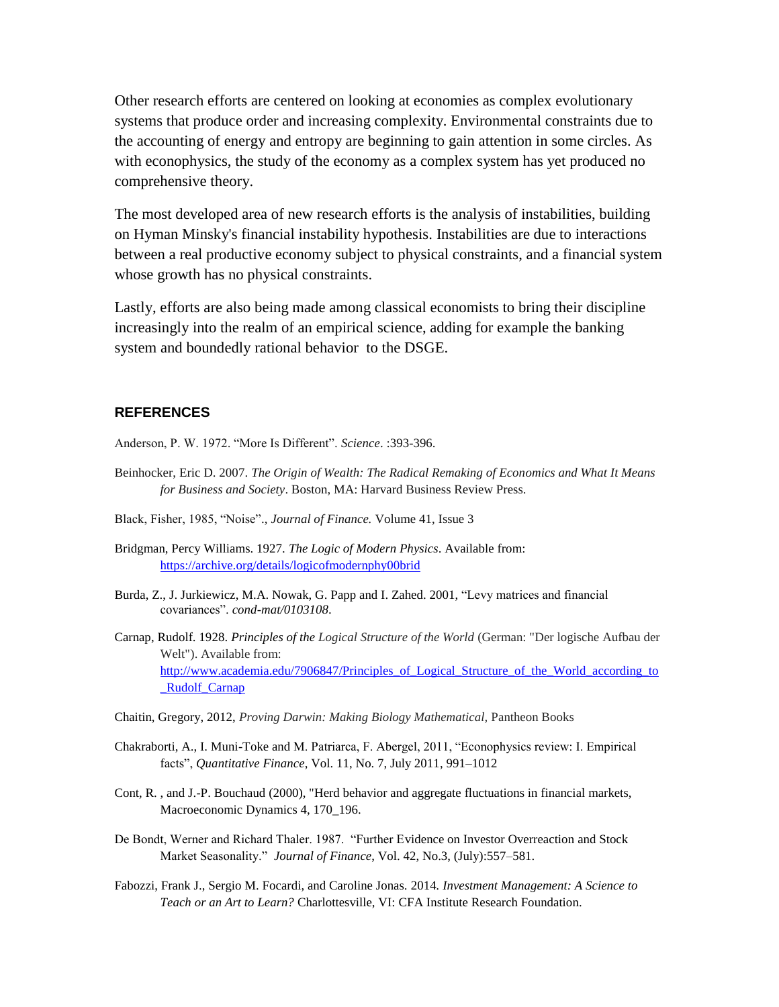Other research efforts are centered on looking at economies as complex evolutionary systems that produce order and increasing complexity. Environmental constraints due to the accounting of energy and entropy are beginning to gain attention in some circles. As with econophysics, the study of the economy as a complex system has yet produced no comprehensive theory.

The most developed area of new research efforts is the analysis of instabilities, building on Hyman Minsky's financial instability hypothesis. Instabilities are due to interactions between a real productive economy subject to physical constraints, and a financial system whose growth has no physical constraints.

Lastly, efforts are also being made among classical economists to bring their discipline increasingly into the realm of an empirical science, adding for example the banking system and boundedly rational behavior to the DSGE.

### **REFERENCES**

Anderson, P. W. 1972. "More Is Different". *Science*. :393-396.

- Beinhocker, Eric D. 2007. *The Origin of Wealth: The Radical Remaking of Economics and What It Means for Business and Society*. Boston, MA: Harvard Business Review Press.
- Black, Fisher, 1985, "Noise"., *Journal of Finance.* Volume 41, Issue 3
- Bridgman, Percy Williams. 1927. *The Logic of Modern Physics*. Available from: <https://archive.org/details/logicofmodernphy00brid>
- Burda, Z., J. Jurkiewicz, M.A. Nowak, G. Papp and I. Zahed. 2001, "Levy matrices and financial covariances". *cond-mat/0103108*.
- Carnap, Rudolf. 1928. *Principles of the Logical Structure of the World* (German: "Der logische Aufbau der Welt"). Available from: http://www.academia.edu/7906847/Principles of Logical Structure of the World according to Rudolf Carnap
- Chaitin, Gregory, 2012, *Proving Darwin: Making Biology Mathematical,* Pantheon Books
- Chakraborti, A., I. Muni-Toke and M. Patriarca, F. Abergel, 2011, "Econophysics review: I. Empirical facts", *Quantitative Finance*, Vol. 11, No. 7, July 2011, 991–1012
- Cont, R. , and J.-P. Bouchaud (2000), "Herd behavior and aggregate fluctuations in financial markets, Macroeconomic Dynamics 4, 170\_196.
- De Bondt, Werner and Richard Thaler. 1987. "Further Evidence on Investor Overreaction and Stock Market Seasonality." *Journal of Finance*, Vol. 42, No.3, (July):557–581.
- Fabozzi, Frank J., Sergio M. Focardi, and Caroline Jonas. 2014*. Investment Management: A Science to Teach or an Art to Learn?* Charlottesville, VI: CFA Institute Research Foundation.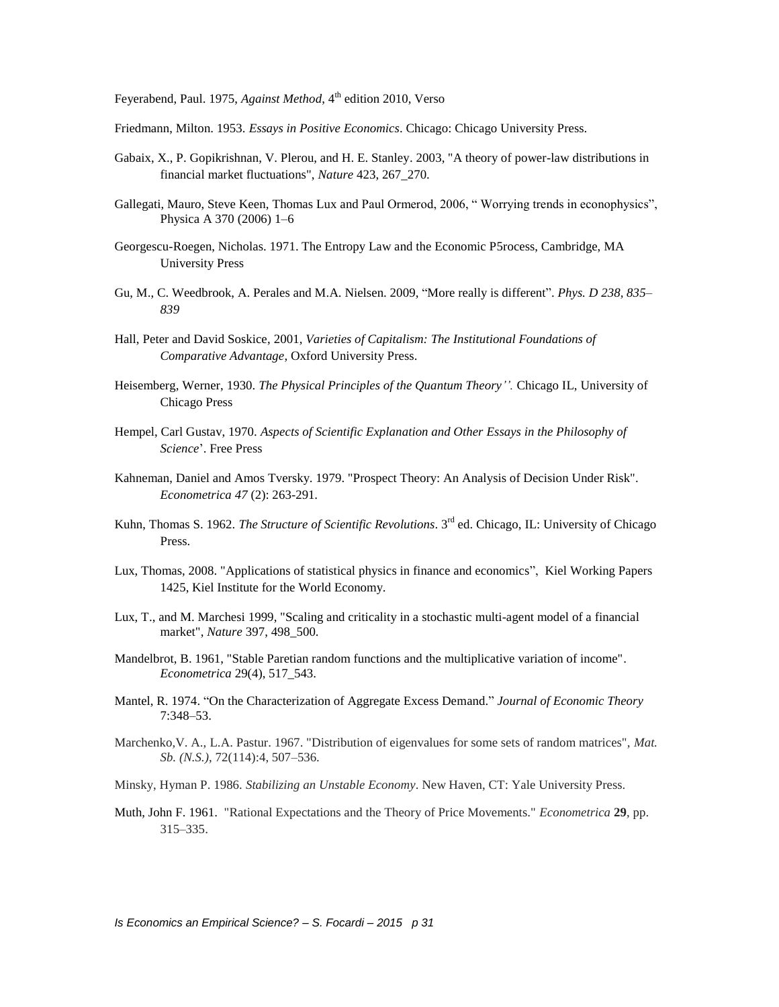Feyerabend, Paul. 1975, *Against Method*, 4<sup>th</sup> edition 2010, Verso

Friedmann, Milton. 1953. *Essays in Positive Economics*. Chicago: Chicago University Press.

- Gabaix, X., P. Gopikrishnan, V. Plerou, and H. E. Stanley. 2003, "A theory of power-law distributions in financial market fluctuations", *Nature* 423, 267\_270.
- Gallegati, Mauro, Steve Keen, Thomas Lux and Paul Ormerod, 2006, " Worrying trends in econophysics", Physica A 370 (2006) 1–6
- Georgescu-Roegen, Nicholas. 1971. The Entropy Law and the Economic P5rocess, Cambridge, MA University Press
- Gu, M., C. Weedbrook, A. Perales and M.A. Nielsen. 2009, "More really is different". *Phys. D 238, 835– 839*
- Hall, Peter and David Soskice, 2001, *Varieties of Capitalism: The Institutional Foundations of Comparative Advantage*, Oxford University Press.
- Heisemberg, Werner, 1930. *The Physical Principles of the Quantum Theory''.* Chicago IL, University of Chicago Press
- Hempel, Carl Gustav, 1970. *Aspects of Scientific Explanation and Other Essays in the Philosophy of Science*'. Free Press
- Kahneman, Daniel and Amos Tversky. 1979. "Prospect Theory: An Analysis of Decision Under Risk". *Econometrica 47* (2): 263-291.
- Kuhn, Thomas S. 1962. *The Structure of Scientific Revolutions*. 3rd ed. Chicago, IL: University of Chicago Press.
- Lux, Thomas, 2008. "Applications of statistical physics in finance and economics", Kiel Working Papers 1425, Kiel Institute for the World Economy.
- Lux, T., and M. Marchesi 1999, "Scaling and criticality in a stochastic multi-agent model of a financial market", *Nature* 397, 498\_500.
- Mandelbrot, B. 1961, "Stable Paretian random functions and the multiplicative variation of income". *Econometrica* 29(4), 517\_543.
- Mantel, R. 1974. "On the Characterization of Aggregate Excess Demand." *Journal of Economic Theory*  7:348–53.
- Marchenko,V. A., L.A. Pastur. 1967. "Distribution of eigenvalues for some sets of random matrices", *Mat. Sb. (N.S.)*, 72(114):4, 507–536.
- Minsky, Hyman P. 1986. *Stabilizing an Unstable Economy*. New Haven, CT: Yale University Press.
- Muth, John F. 1961. "Rational Expectations and the Theory of Price Movements." *Econometrica* **29**, pp. 315–335.